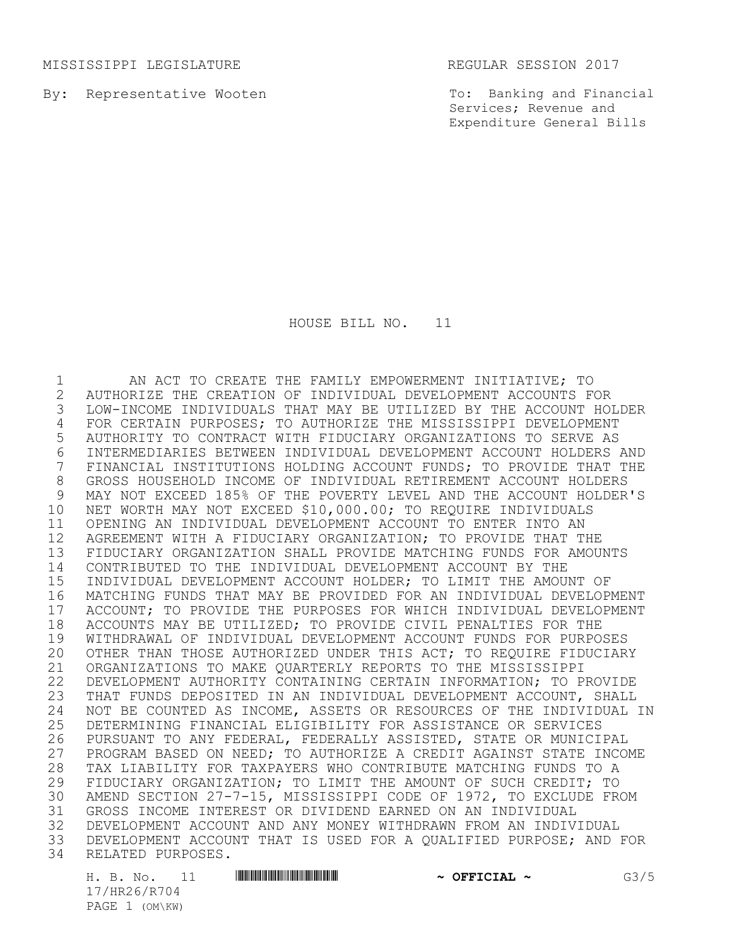MISSISSIPPI LEGISLATURE REGULAR SESSION 2017

By: Representative Wooten

To: Banking and Financial Services; Revenue and Expenditure General Bills

HOUSE BILL NO. 11

 AN ACT TO CREATE THE FAMILY EMPOWERMENT INITIATIVE; TO AUTHORIZE THE CREATION OF INDIVIDUAL DEVELOPMENT ACCOUNTS FOR LOW-INCOME INDIVIDUALS THAT MAY BE UTILIZED BY THE ACCOUNT HOLDER FOR CERTAIN PURPOSES; TO AUTHORIZE THE MISSISSIPPI DEVELOPMENT AUTHORITY TO CONTRACT WITH FIDUCIARY ORGANIZATIONS TO SERVE AS 6 INTERMEDIARIES BETWEEN INDIVIDUAL DEVELOPMENT ACCOUNT HOLDERS AND<br>7 FINANCIAL INSTITUTIONS HOLDING ACCOUNT FUNDS: TO PROVIDE THAT THE FINANCIAL INSTITUTIONS HOLDING ACCOUNT FUNDS; TO PROVIDE THAT THE GROSS HOUSEHOLD INCOME OF INDIVIDUAL RETIREMENT ACCOUNT HOLDERS MAY NOT EXCEED 185% OF THE POVERTY LEVEL AND THE ACCOUNT HOLDER'S NET WORTH MAY NOT EXCEED \$10,000.00; TO REQUIRE INDIVIDUALS OPENING AN INDIVIDUAL DEVELOPMENT ACCOUNT TO ENTER INTO AN AGREEMENT WITH A FIDUCIARY ORGANIZATION; TO PROVIDE THAT THE FIDUCIARY ORGANIZATION SHALL PROVIDE MATCHING FUNDS FOR AMOUNTS CONTRIBUTED TO THE INDIVIDUAL DEVELOPMENT ACCOUNT BY THE INDIVIDUAL DEVELOPMENT ACCOUNT HOLDER; TO LIMIT THE AMOUNT OF MATCHING FUNDS THAT MAY BE PROVIDED FOR AN INDIVIDUAL DEVELOPMENT 17 ACCOUNT; TO PROVIDE THE PURPOSES FOR WHICH INDIVIDUAL DEVELOPMENT<br>18 ACCOUNTS MAY BE UTILIZED: TO PROVIDE CIVIL PENALTIES FOR THE 18 ACCOUNTS MAY BE UTILIZED; TO PROVIDE CIVIL PENALTIES FOR THE<br>19 WITHDRAWAL OF INDIVIDUAL DEVELOPMENT ACCOUNT FUNDS FOR PURPO WITHDRAWAL OF INDIVIDUAL DEVELOPMENT ACCOUNT FUNDS FOR PURPOSES OTHER THAN THOSE AUTHORIZED UNDER THIS ACT; TO REQUIRE FIDUCIARY ORGANIZATIONS TO MAKE QUARTERLY REPORTS TO THE MISSISSIPPI DEVELOPMENT AUTHORITY CONTAINING CERTAIN INFORMATION; TO PROVIDE THAT FUNDS DEPOSITED IN AN INDIVIDUAL DEVELOPMENT ACCOUNT, SHALL 24 NOT BE COUNTED AS INCOME, ASSETS OR RESOURCES OF THE INDIVIDUAL IN<br>25 DETERMINING FINANCIAL ELIGIBILITY FOR ASSISTANCE OR SERVICES 25 DETERMINING FINANCIAL ELIGIBILITY FOR ASSISTANCE OR SERVICES<br>26 PURSUANT TO ANY FEDERAL, FEDERALLY ASSISTED, STATE OR MUNICI 26 PURSUANT TO ANY FEDERAL, FEDERALLY ASSISTED, STATE OR MUNICIPAL<br>27 PROGRAM BASED ON NEED: TO AUTHORIZE A CREDIT AGAINST STATE INCO PROGRAM BASED ON NEED; TO AUTHORIZE A CREDIT AGAINST STATE INCOME 28 TAX LIABILITY FOR TAXPAYERS WHO CONTRIBUTE MATCHING FUNDS TO A<br>29 FIDUCIARY ORGANIZATION; TO LIMIT THE AMOUNT OF SUCH CREDIT; TO 29 FIDUCIARY ORGANIZATION; TO LIMIT THE AMOUNT OF SUCH CREDIT; TO<br>30 AMEND SECTION 27-7-15, MISSISSIPPI CODE OF 1972, TO EXCLUDE FR AMEND SECTION 27-7-15, MISSISSIPPI CODE OF 1972, TO EXCLUDE FROM GROSS INCOME INTEREST OR DIVIDEND EARNED ON AN INDIVIDUAL 32 DEVELOPMENT ACCOUNT AND ANY MONEY WITHDRAWN FROM AN INDIVIDUAL<br>33 DEVELOPMENT ACCOUNT THAT IS USED FOR A OUALIFIED PURPOSE: AND DEVELOPMENT ACCOUNT THAT IS USED FOR A QUALIFIED PURPOSE; AND FOR RELATED PURPOSES.

H. B. No. 11 **HRACHAL ~ OFFICIAL ~** G3/5 17/HR26/R704 PAGE 1 (OM\KW)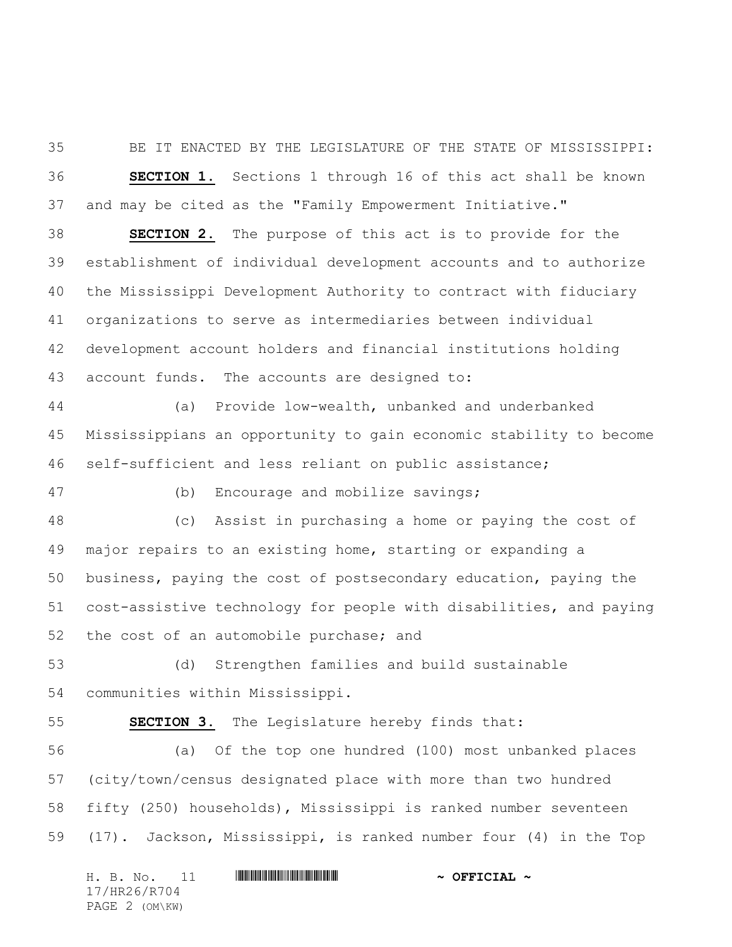BE IT ENACTED BY THE LEGISLATURE OF THE STATE OF MISSISSIPPI: **SECTION 1.** Sections 1 through 16 of this act shall be known and may be cited as the "Family Empowerment Initiative."

 **SECTION 2.** The purpose of this act is to provide for the establishment of individual development accounts and to authorize the Mississippi Development Authority to contract with fiduciary organizations to serve as intermediaries between individual development account holders and financial institutions holding account funds. The accounts are designed to:

 (a) Provide low-wealth, unbanked and underbanked Mississippians an opportunity to gain economic stability to become self-sufficient and less reliant on public assistance;

(b) Encourage and mobilize savings;

 (c) Assist in purchasing a home or paying the cost of major repairs to an existing home, starting or expanding a business, paying the cost of postsecondary education, paying the cost-assistive technology for people with disabilities, and paying the cost of an automobile purchase; and

 (d) Strengthen families and build sustainable communities within Mississippi.

**SECTION 3.** The Legislature hereby finds that:

 (a) Of the top one hundred (100) most unbanked places (city/town/census designated place with more than two hundred fifty (250) households), Mississippi is ranked number seventeen (17). Jackson, Mississippi, is ranked number four (4) in the Top

H. B. No. 11 \*HR26/R704\* **~ OFFICIAL ~** 17/HR26/R704 PAGE 2 (OM\KW)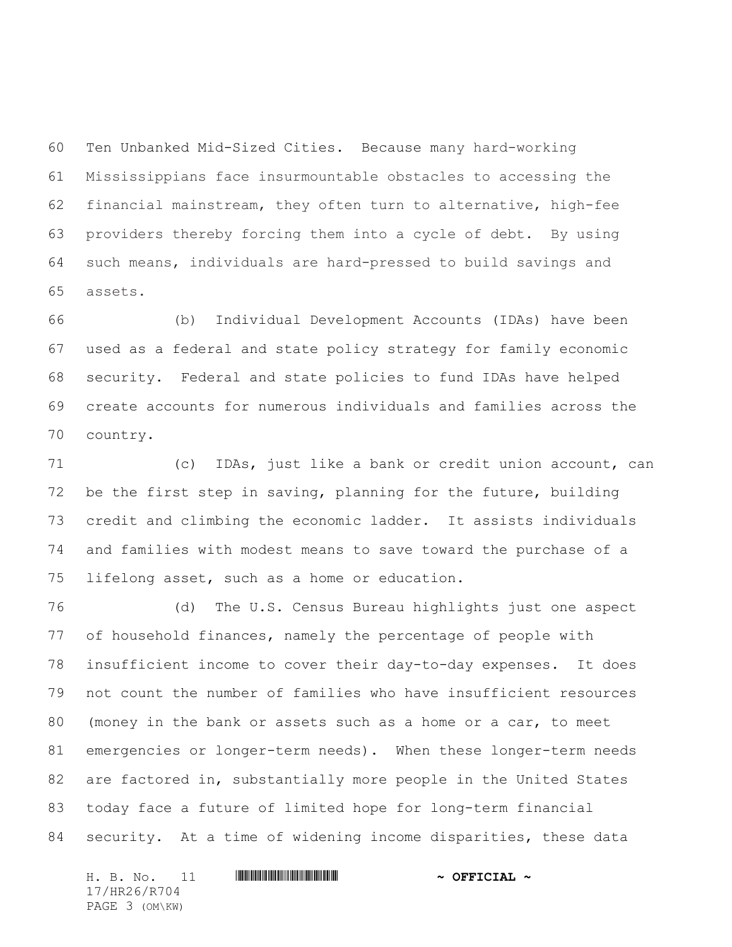Ten Unbanked Mid-Sized Cities. Because many hard-working Mississippians face insurmountable obstacles to accessing the financial mainstream, they often turn to alternative, high-fee providers thereby forcing them into a cycle of debt. By using such means, individuals are hard-pressed to build savings and assets.

 (b) Individual Development Accounts (IDAs) have been used as a federal and state policy strategy for family economic security. Federal and state policies to fund IDAs have helped create accounts for numerous individuals and families across the country.

 (c) IDAs, just like a bank or credit union account, can be the first step in saving, planning for the future, building credit and climbing the economic ladder. It assists individuals and families with modest means to save toward the purchase of a lifelong asset, such as a home or education.

 (d) The U.S. Census Bureau highlights just one aspect of household finances, namely the percentage of people with insufficient income to cover their day-to-day expenses. It does not count the number of families who have insufficient resources (money in the bank or assets such as a home or a car, to meet emergencies or longer-term needs). When these longer-term needs are factored in, substantially more people in the United States today face a future of limited hope for long-term financial security. At a time of widening income disparities, these data

H. B. No. 11 **HREFRIRGHERRY TELLET AND A OFFICIAL ~** 17/HR26/R704 PAGE 3 (OM\KW)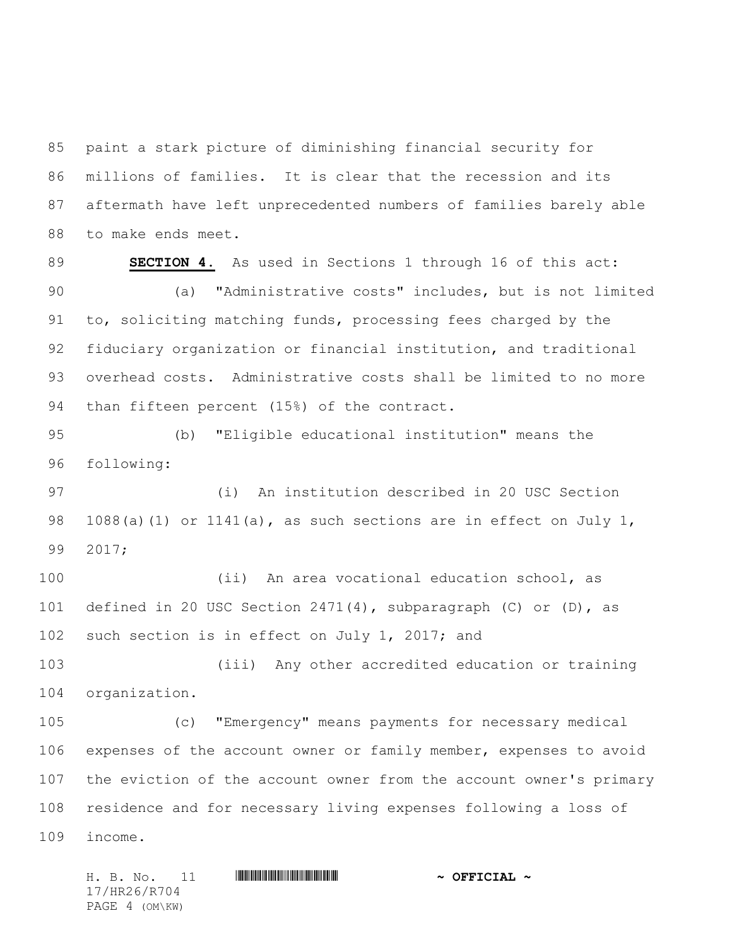paint a stark picture of diminishing financial security for millions of families. It is clear that the recession and its aftermath have left unprecedented numbers of families barely able to make ends meet.

 **SECTION 4.** As used in Sections 1 through 16 of this act: (a) "Administrative costs" includes, but is not limited to, soliciting matching funds, processing fees charged by the fiduciary organization or financial institution, and traditional overhead costs. Administrative costs shall be limited to no more than fifteen percent (15%) of the contract.

 (b) "Eligible educational institution" means the following:

 (i) An institution described in 20 USC Section 98 1088(a)(1) or 1141(a), as such sections are in effect on July 1, 2017;

 (ii) An area vocational education school, as defined in 20 USC Section 2471(4), subparagraph (C) or (D), as 102 such section is in effect on July 1, 2017; and

 (iii) Any other accredited education or training organization.

 (c) "Emergency" means payments for necessary medical expenses of the account owner or family member, expenses to avoid the eviction of the account owner from the account owner's primary residence and for necessary living expenses following a loss of income.

H. B. No. 11 \*HR26/R704\* **~ OFFICIAL ~** 17/HR26/R704 PAGE 4 (OM\KW)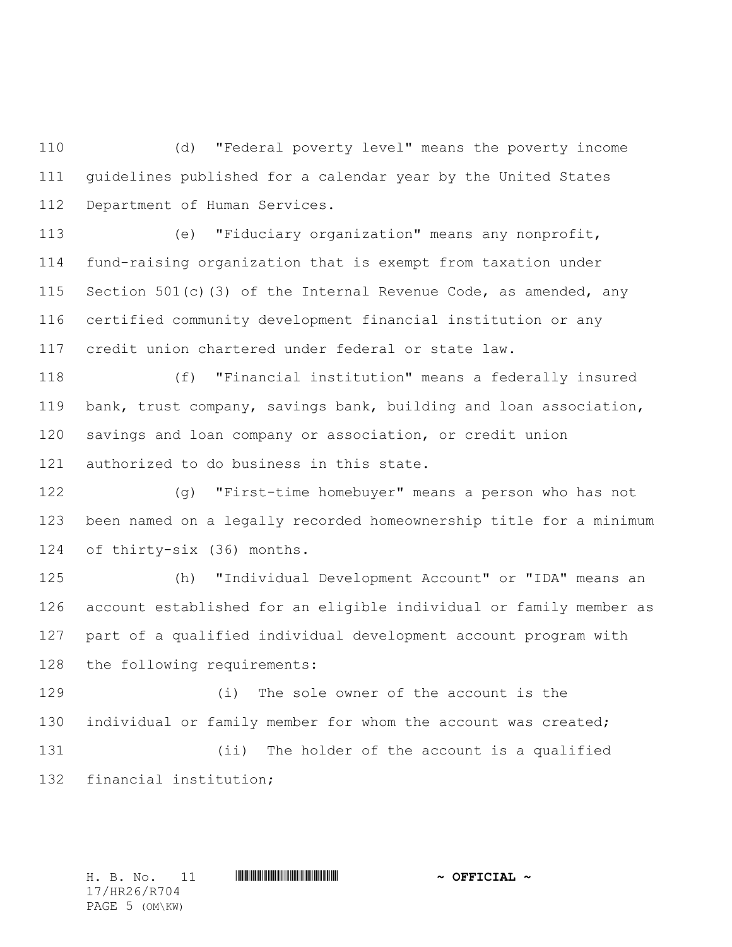(d) "Federal poverty level" means the poverty income guidelines published for a calendar year by the United States Department of Human Services.

 (e) "Fiduciary organization" means any nonprofit, fund-raising organization that is exempt from taxation under 115 Section 501(c)(3) of the Internal Revenue Code, as amended, any certified community development financial institution or any credit union chartered under federal or state law.

 (f) "Financial institution" means a federally insured bank, trust company, savings bank, building and loan association, savings and loan company or association, or credit union authorized to do business in this state.

 (g) "First-time homebuyer" means a person who has not been named on a legally recorded homeownership title for a minimum of thirty-six (36) months.

 (h) "Individual Development Account" or "IDA" means an account established for an eligible individual or family member as part of a qualified individual development account program with the following requirements:

 (i) The sole owner of the account is the individual or family member for whom the account was created; (ii) The holder of the account is a qualified financial institution;

H. B. No. 11 \*HR26/R704\* **~ OFFICIAL ~** 17/HR26/R704 PAGE 5 (OM\KW)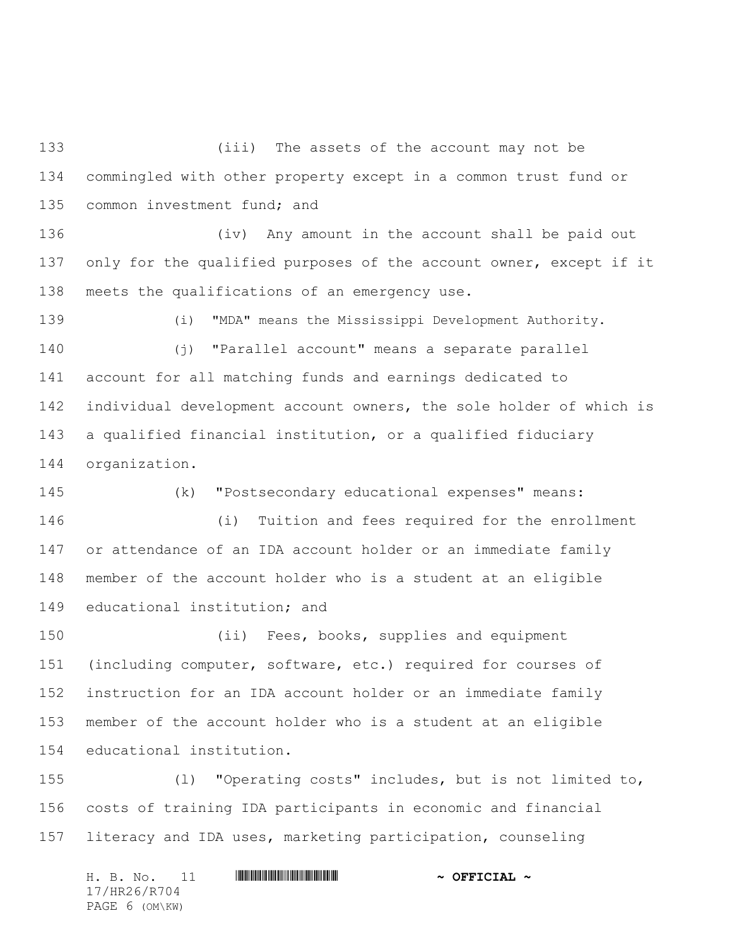(iii) The assets of the account may not be commingled with other property except in a common trust fund or 135 common investment fund; and

 (iv) Any amount in the account shall be paid out 137 only for the qualified purposes of the account owner, except if it meets the qualifications of an emergency use.

 (i) "MDA" means the Mississippi Development Authority. (j) "Parallel account" means a separate parallel account for all matching funds and earnings dedicated to individual development account owners, the sole holder of which is a qualified financial institution, or a qualified fiduciary organization.

 (k) "Postsecondary educational expenses" means: (i) Tuition and fees required for the enrollment or attendance of an IDA account holder or an immediate family member of the account holder who is a student at an eligible

educational institution; and

 (ii) Fees, books, supplies and equipment (including computer, software, etc.) required for courses of instruction for an IDA account holder or an immediate family member of the account holder who is a student at an eligible educational institution.

 (l) "Operating costs" includes, but is not limited to, costs of training IDA participants in economic and financial literacy and IDA uses, marketing participation, counseling

H. B. No. 11 \*HR26/R704\* **~ OFFICIAL ~** 17/HR26/R704 PAGE 6 (OM\KW)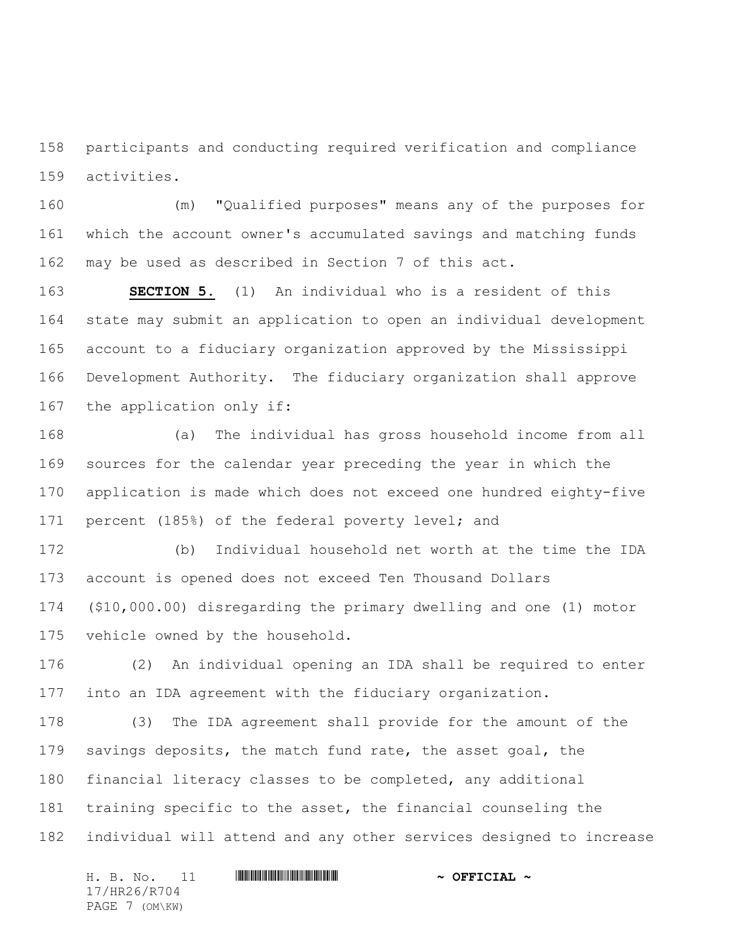participants and conducting required verification and compliance activities.

 (m) "Qualified purposes" means any of the purposes for which the account owner's accumulated savings and matching funds may be used as described in Section 7 of this act.

 **SECTION 5.** (1) An individual who is a resident of this state may submit an application to open an individual development account to a fiduciary organization approved by the Mississippi Development Authority. The fiduciary organization shall approve the application only if:

 (a) The individual has gross household income from all sources for the calendar year preceding the year in which the application is made which does not exceed one hundred eighty-five percent (185%) of the federal poverty level; and

 (b) Individual household net worth at the time the IDA account is opened does not exceed Ten Thousand Dollars (\$10,000.00) disregarding the primary dwelling and one (1) motor vehicle owned by the household.

 (2) An individual opening an IDA shall be required to enter into an IDA agreement with the fiduciary organization.

 (3) The IDA agreement shall provide for the amount of the 179 savings deposits, the match fund rate, the asset goal, the financial literacy classes to be completed, any additional training specific to the asset, the financial counseling the individual will attend and any other services designed to increase

H. B. No. 11 \*HR26/R704\* **~ OFFICIAL ~** 17/HR26/R704 PAGE 7 (OM\KW)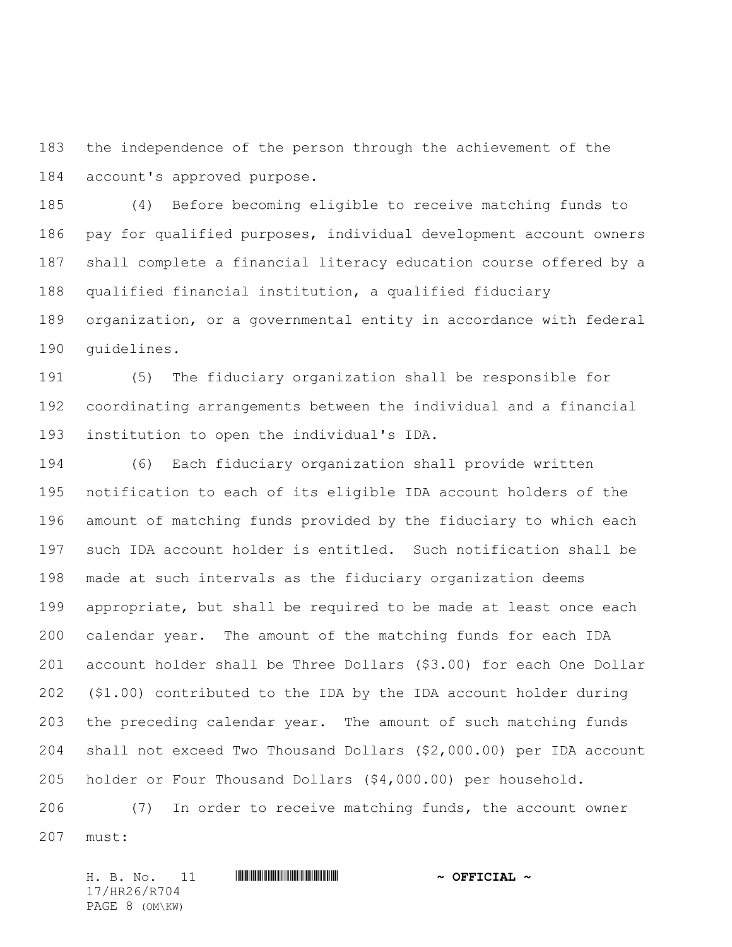the independence of the person through the achievement of the account's approved purpose.

 (4) Before becoming eligible to receive matching funds to pay for qualified purposes, individual development account owners shall complete a financial literacy education course offered by a qualified financial institution, a qualified fiduciary organization, or a governmental entity in accordance with federal guidelines.

 (5) The fiduciary organization shall be responsible for coordinating arrangements between the individual and a financial institution to open the individual's IDA.

 (6) Each fiduciary organization shall provide written notification to each of its eligible IDA account holders of the amount of matching funds provided by the fiduciary to which each such IDA account holder is entitled. Such notification shall be made at such intervals as the fiduciary organization deems appropriate, but shall be required to be made at least once each calendar year. The amount of the matching funds for each IDA account holder shall be Three Dollars (\$3.00) for each One Dollar (\$1.00) contributed to the IDA by the IDA account holder during the preceding calendar year. The amount of such matching funds shall not exceed Two Thousand Dollars (\$2,000.00) per IDA account holder or Four Thousand Dollars (\$4,000.00) per household.

 (7) In order to receive matching funds, the account owner must:

H. B. No. 11 \*HR26/R704\* **~ OFFICIAL ~** 17/HR26/R704 PAGE 8 (OM\KW)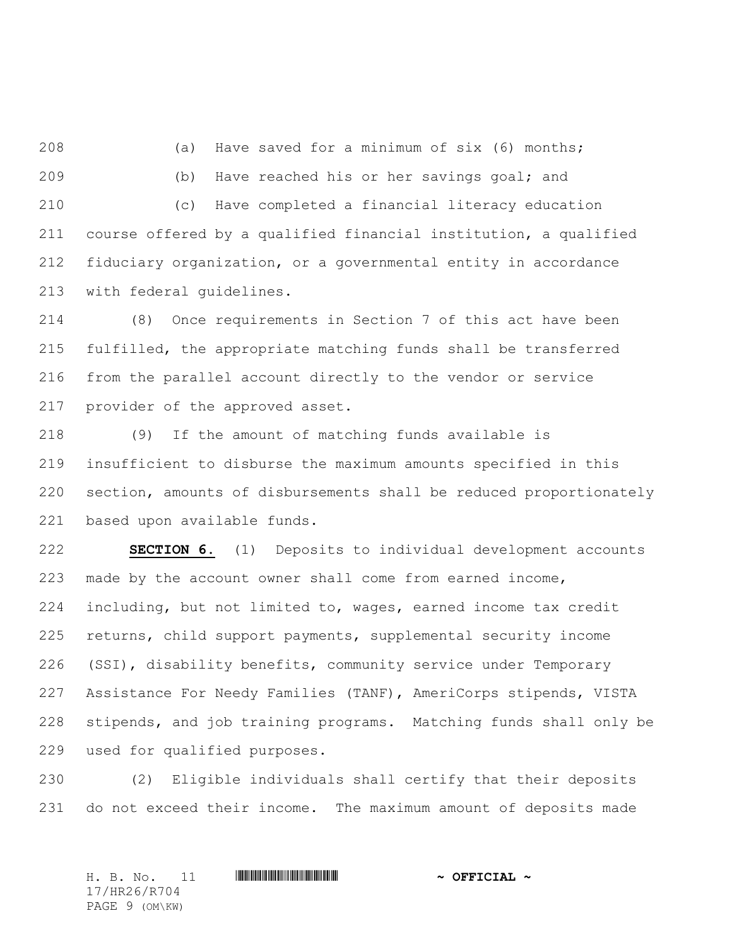(a) Have saved for a minimum of six (6) months; (b) Have reached his or her savings goal; and (c) Have completed a financial literacy education course offered by a qualified financial institution, a qualified fiduciary organization, or a governmental entity in accordance with federal guidelines.

 (8) Once requirements in Section 7 of this act have been fulfilled, the appropriate matching funds shall be transferred from the parallel account directly to the vendor or service provider of the approved asset.

 (9) If the amount of matching funds available is insufficient to disburse the maximum amounts specified in this section, amounts of disbursements shall be reduced proportionately based upon available funds.

 **SECTION 6.** (1) Deposits to individual development accounts made by the account owner shall come from earned income, including, but not limited to, wages, earned income tax credit returns, child support payments, supplemental security income (SSI), disability benefits, community service under Temporary Assistance For Needy Families (TANF), AmeriCorps stipends, VISTA stipends, and job training programs. Matching funds shall only be used for qualified purposes.

 (2) Eligible individuals shall certify that their deposits do not exceed their income. The maximum amount of deposits made

H. B. No. 11 \*HR26/R704\* **~ OFFICIAL ~** 17/HR26/R704 PAGE 9 (OM\KW)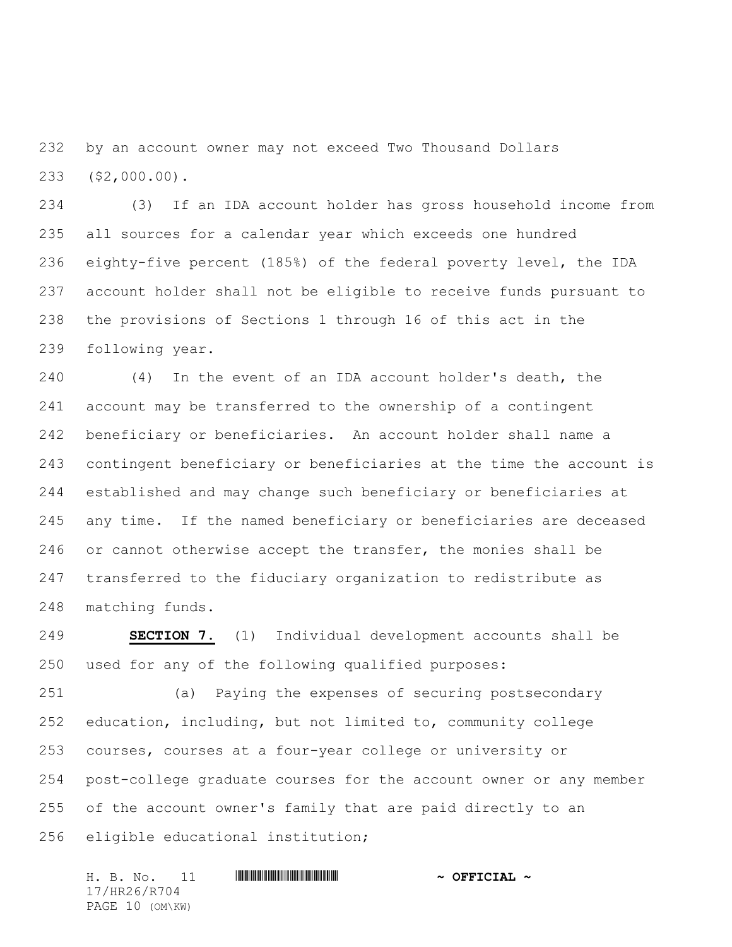by an account owner may not exceed Two Thousand Dollars (\$2,000.00).

 (3) If an IDA account holder has gross household income from all sources for a calendar year which exceeds one hundred eighty-five percent (185%) of the federal poverty level, the IDA account holder shall not be eligible to receive funds pursuant to the provisions of Sections 1 through 16 of this act in the following year.

 (4) In the event of an IDA account holder's death, the account may be transferred to the ownership of a contingent beneficiary or beneficiaries. An account holder shall name a contingent beneficiary or beneficiaries at the time the account is established and may change such beneficiary or beneficiaries at any time. If the named beneficiary or beneficiaries are deceased or cannot otherwise accept the transfer, the monies shall be transferred to the fiduciary organization to redistribute as matching funds.

 **SECTION 7.** (1) Individual development accounts shall be used for any of the following qualified purposes:

 (a) Paying the expenses of securing postsecondary education, including, but not limited to, community college courses, courses at a four-year college or university or post-college graduate courses for the account owner or any member of the account owner's family that are paid directly to an eligible educational institution;

H. B. No. 11 \*HR26/R704\* **~ OFFICIAL ~** 17/HR26/R704 PAGE 10 (OM\KW)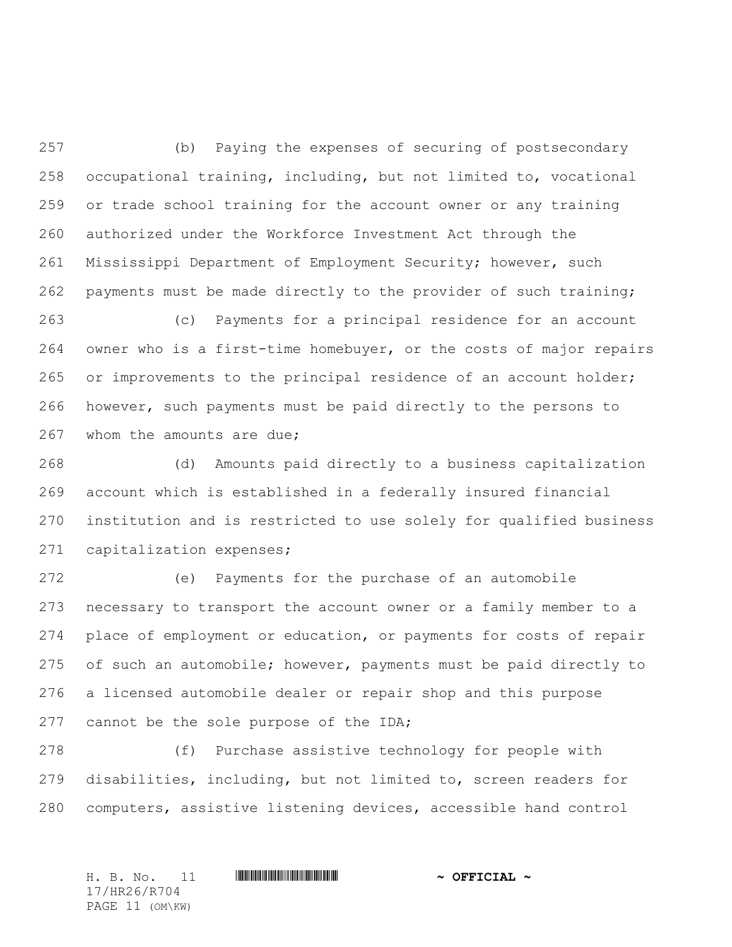(b) Paying the expenses of securing of postsecondary occupational training, including, but not limited to, vocational or trade school training for the account owner or any training authorized under the Workforce Investment Act through the Mississippi Department of Employment Security; however, such payments must be made directly to the provider of such training;

 (c) Payments for a principal residence for an account owner who is a first-time homebuyer, or the costs of major repairs 265 or improvements to the principal residence of an account holder; however, such payments must be paid directly to the persons to 267 whom the amounts are due;

 (d) Amounts paid directly to a business capitalization account which is established in a federally insured financial institution and is restricted to use solely for qualified business capitalization expenses;

 (e) Payments for the purchase of an automobile necessary to transport the account owner or a family member to a place of employment or education, or payments for costs of repair of such an automobile; however, payments must be paid directly to a licensed automobile dealer or repair shop and this purpose 277 cannot be the sole purpose of the IDA;

 (f) Purchase assistive technology for people with disabilities, including, but not limited to, screen readers for computers, assistive listening devices, accessible hand control

H. B. No. 11 \*HR26/R704\* **~ OFFICIAL ~** 17/HR26/R704 PAGE 11 (OM\KW)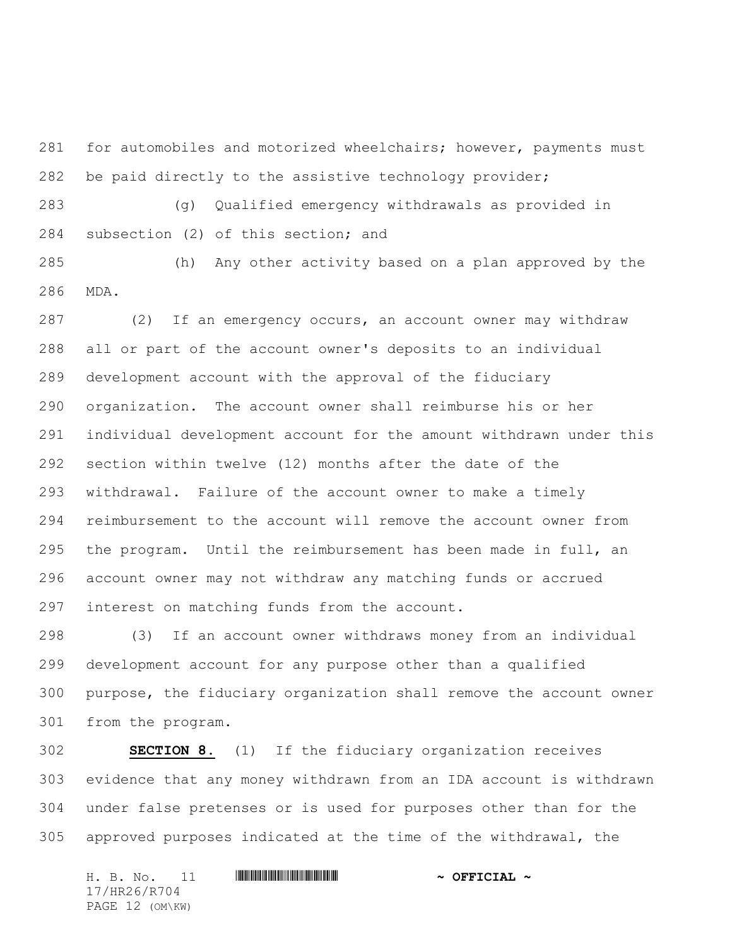281 for automobiles and motorized wheelchairs; however, payments must be paid directly to the assistive technology provider;

 (g) Qualified emergency withdrawals as provided in subsection (2) of this section; and

 (h) Any other activity based on a plan approved by the MDA.

 (2) If an emergency occurs, an account owner may withdraw all or part of the account owner's deposits to an individual development account with the approval of the fiduciary organization. The account owner shall reimburse his or her individual development account for the amount withdrawn under this section within twelve (12) months after the date of the withdrawal. Failure of the account owner to make a timely reimbursement to the account will remove the account owner from the program. Until the reimbursement has been made in full, an account owner may not withdraw any matching funds or accrued interest on matching funds from the account.

 (3) If an account owner withdraws money from an individual development account for any purpose other than a qualified purpose, the fiduciary organization shall remove the account owner from the program.

 **SECTION 8.** (1) If the fiduciary organization receives evidence that any money withdrawn from an IDA account is withdrawn under false pretenses or is used for purposes other than for the approved purposes indicated at the time of the withdrawal, the

H. B. No. 11 \*HR26/R704\* **~ OFFICIAL ~** 17/HR26/R704 PAGE 12 (OM\KW)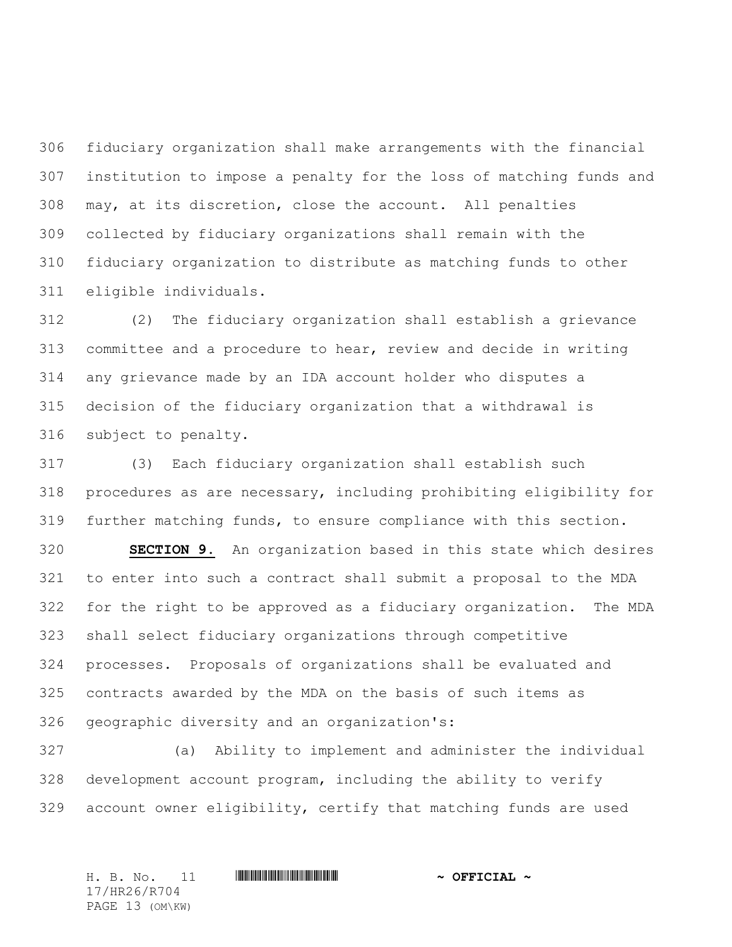fiduciary organization shall make arrangements with the financial institution to impose a penalty for the loss of matching funds and may, at its discretion, close the account. All penalties collected by fiduciary organizations shall remain with the fiduciary organization to distribute as matching funds to other eligible individuals.

 (2) The fiduciary organization shall establish a grievance committee and a procedure to hear, review and decide in writing any grievance made by an IDA account holder who disputes a decision of the fiduciary organization that a withdrawal is subject to penalty.

 (3) Each fiduciary organization shall establish such procedures as are necessary, including prohibiting eligibility for further matching funds, to ensure compliance with this section.

 **SECTION 9.** An organization based in this state which desires to enter into such a contract shall submit a proposal to the MDA for the right to be approved as a fiduciary organization. The MDA shall select fiduciary organizations through competitive processes. Proposals of organizations shall be evaluated and contracts awarded by the MDA on the basis of such items as geographic diversity and an organization's:

 (a) Ability to implement and administer the individual development account program, including the ability to verify account owner eligibility, certify that matching funds are used

H. B. No. 11 \*HR26/R704\* **~ OFFICIAL ~** 17/HR26/R704 PAGE 13 (OM\KW)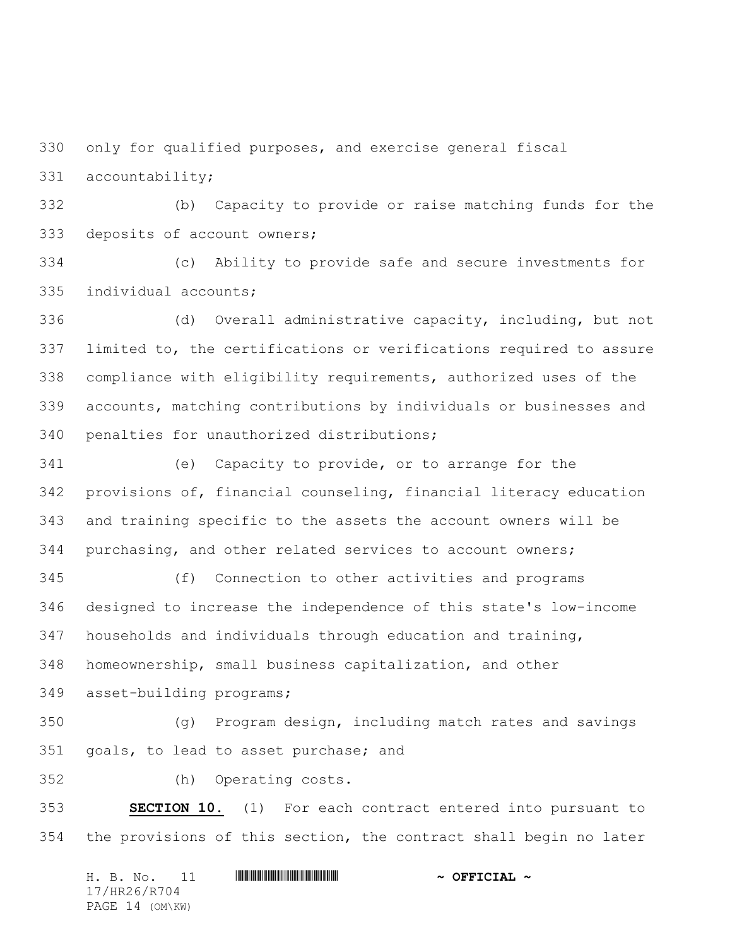only for qualified purposes, and exercise general fiscal

accountability;

 (b) Capacity to provide or raise matching funds for the deposits of account owners;

 (c) Ability to provide safe and secure investments for individual accounts;

 (d) Overall administrative capacity, including, but not limited to, the certifications or verifications required to assure compliance with eligibility requirements, authorized uses of the accounts, matching contributions by individuals or businesses and penalties for unauthorized distributions;

 (e) Capacity to provide, or to arrange for the provisions of, financial counseling, financial literacy education and training specific to the assets the account owners will be purchasing, and other related services to account owners;

 (f) Connection to other activities and programs designed to increase the independence of this state's low-income households and individuals through education and training, homeownership, small business capitalization, and other

asset-building programs;

 (g) Program design, including match rates and savings goals, to lead to asset purchase; and

(h) Operating costs.

 **SECTION 10.** (1) For each contract entered into pursuant to the provisions of this section, the contract shall begin no later

H. B. No. 11 \*HR26/R704\* **~ OFFICIAL ~** 17/HR26/R704 PAGE 14 (OM\KW)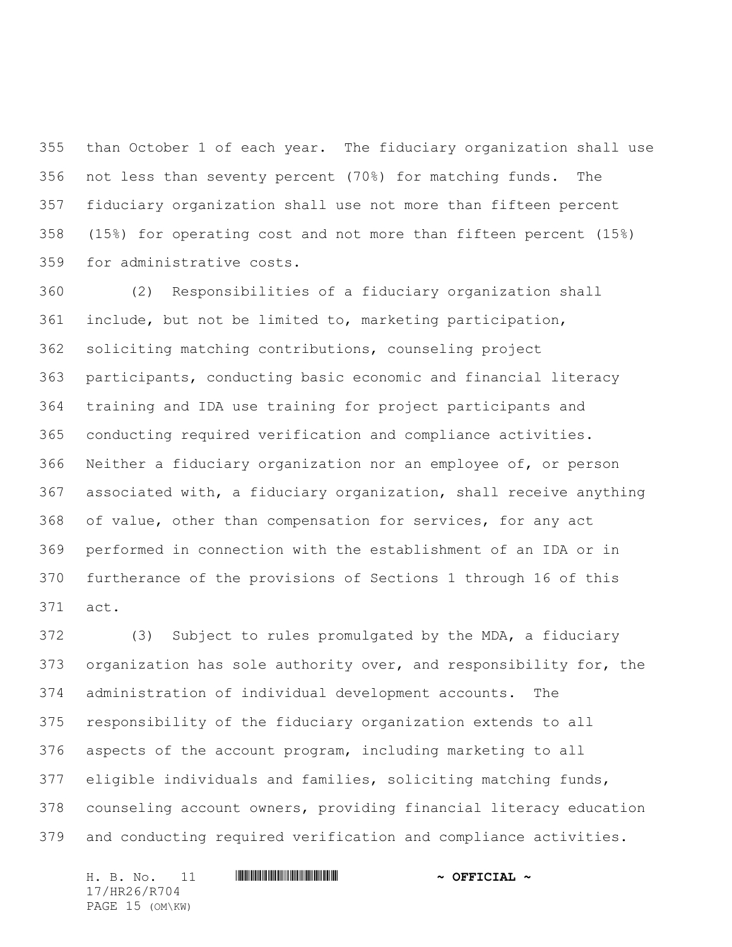than October 1 of each year. The fiduciary organization shall use not less than seventy percent (70%) for matching funds. The fiduciary organization shall use not more than fifteen percent (15%) for operating cost and not more than fifteen percent (15%) for administrative costs.

 (2) Responsibilities of a fiduciary organization shall include, but not be limited to, marketing participation, soliciting matching contributions, counseling project participants, conducting basic economic and financial literacy training and IDA use training for project participants and conducting required verification and compliance activities. Neither a fiduciary organization nor an employee of, or person associated with, a fiduciary organization, shall receive anything of value, other than compensation for services, for any act performed in connection with the establishment of an IDA or in furtherance of the provisions of Sections 1 through 16 of this act.

 (3) Subject to rules promulgated by the MDA, a fiduciary organization has sole authority over, and responsibility for, the administration of individual development accounts. The responsibility of the fiduciary organization extends to all aspects of the account program, including marketing to all eligible individuals and families, soliciting matching funds, counseling account owners, providing financial literacy education and conducting required verification and compliance activities.

H. B. No. 11 \*HR26/R704\* **~ OFFICIAL ~** 17/HR26/R704 PAGE 15 (OM\KW)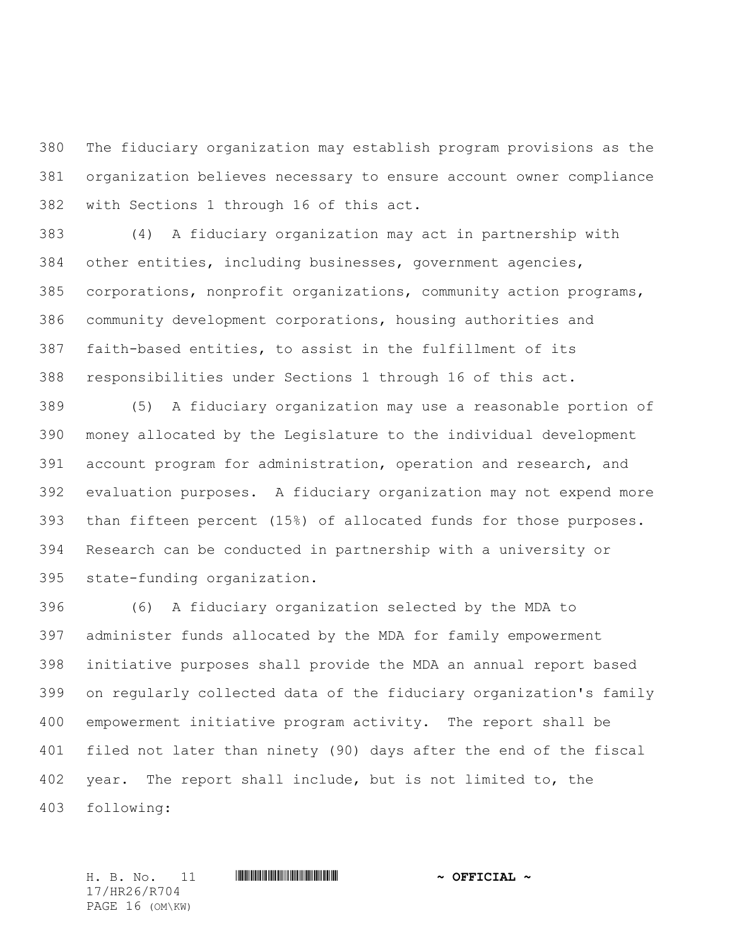The fiduciary organization may establish program provisions as the organization believes necessary to ensure account owner compliance with Sections 1 through 16 of this act.

 (4) A fiduciary organization may act in partnership with other entities, including businesses, government agencies, corporations, nonprofit organizations, community action programs, community development corporations, housing authorities and faith-based entities, to assist in the fulfillment of its responsibilities under Sections 1 through 16 of this act.

 (5) A fiduciary organization may use a reasonable portion of money allocated by the Legislature to the individual development account program for administration, operation and research, and evaluation purposes. A fiduciary organization may not expend more than fifteen percent (15%) of allocated funds for those purposes. Research can be conducted in partnership with a university or state-funding organization.

 (6) A fiduciary organization selected by the MDA to administer funds allocated by the MDA for family empowerment initiative purposes shall provide the MDA an annual report based on regularly collected data of the fiduciary organization's family empowerment initiative program activity. The report shall be filed not later than ninety (90) days after the end of the fiscal year. The report shall include, but is not limited to, the following:

H. B. No. 11 \*HR26/R704\* **~ OFFICIAL ~** 17/HR26/R704 PAGE 16 (OM\KW)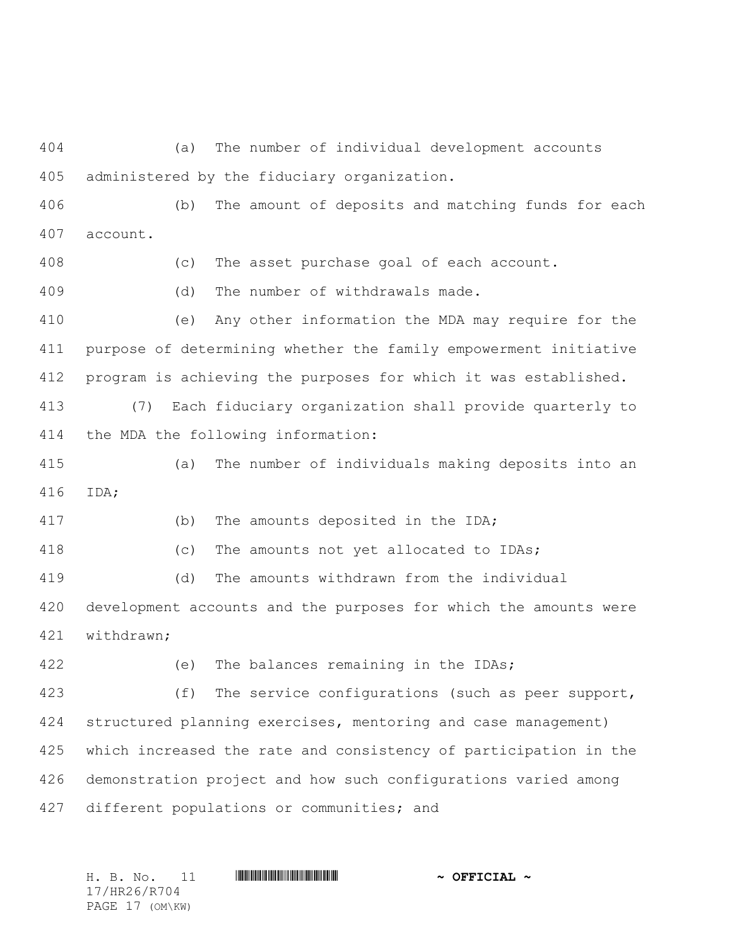(a) The number of individual development accounts administered by the fiduciary organization.

 (b) The amount of deposits and matching funds for each account.

(c) The asset purchase goal of each account.

(d) The number of withdrawals made.

 (e) Any other information the MDA may require for the purpose of determining whether the family empowerment initiative program is achieving the purposes for which it was established.

 (7) Each fiduciary organization shall provide quarterly to the MDA the following information:

 (a) The number of individuals making deposits into an IDA;

(b) The amounts deposited in the IDA;

(c) The amounts not yet allocated to IDAs;

(d) The amounts withdrawn from the individual

 development accounts and the purposes for which the amounts were withdrawn;

422 (e) The balances remaining in the IDAs;

 (f) The service configurations (such as peer support, structured planning exercises, mentoring and case management) which increased the rate and consistency of participation in the demonstration project and how such configurations varied among different populations or communities; and

H. B. No. 11 \*HR26/R704\* **~ OFFICIAL ~** 17/HR26/R704 PAGE 17 (OM\KW)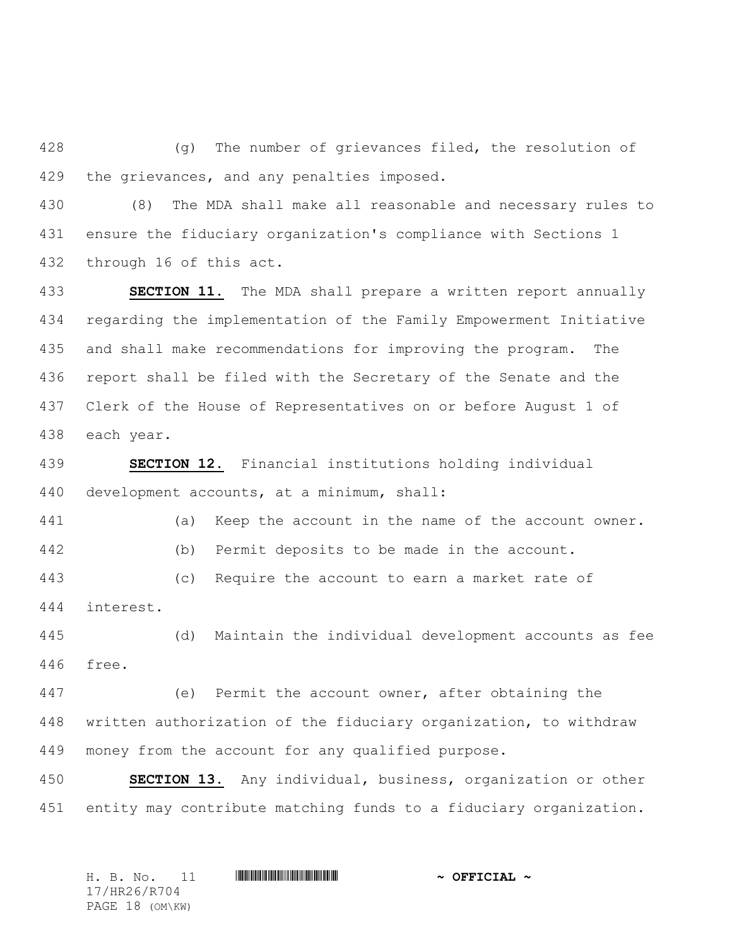(g) The number of grievances filed, the resolution of the grievances, and any penalties imposed.

 (8) The MDA shall make all reasonable and necessary rules to ensure the fiduciary organization's compliance with Sections 1 through 16 of this act.

 **SECTION 11.** The MDA shall prepare a written report annually regarding the implementation of the Family Empowerment Initiative and shall make recommendations for improving the program. The report shall be filed with the Secretary of the Senate and the Clerk of the House of Representatives on or before August 1 of each year.

 **SECTION 12.** Financial institutions holding individual development accounts, at a minimum, shall:

 (a) Keep the account in the name of the account owner. (b) Permit deposits to be made in the account.

 (c) Require the account to earn a market rate of interest.

 (d) Maintain the individual development accounts as fee free.

 (e) Permit the account owner, after obtaining the written authorization of the fiduciary organization, to withdraw money from the account for any qualified purpose.

 **SECTION 13.** Any individual, business, organization or other entity may contribute matching funds to a fiduciary organization.

|              |  | H. B. No. 11    |  |  |  | $\sim$ OFFICIAL $\sim$ |  |  |  |
|--------------|--|-----------------|--|--|--|------------------------|--|--|--|
| 17/HR26/R704 |  |                 |  |  |  |                        |  |  |  |
|              |  | PAGE 18 (OM\KW) |  |  |  |                        |  |  |  |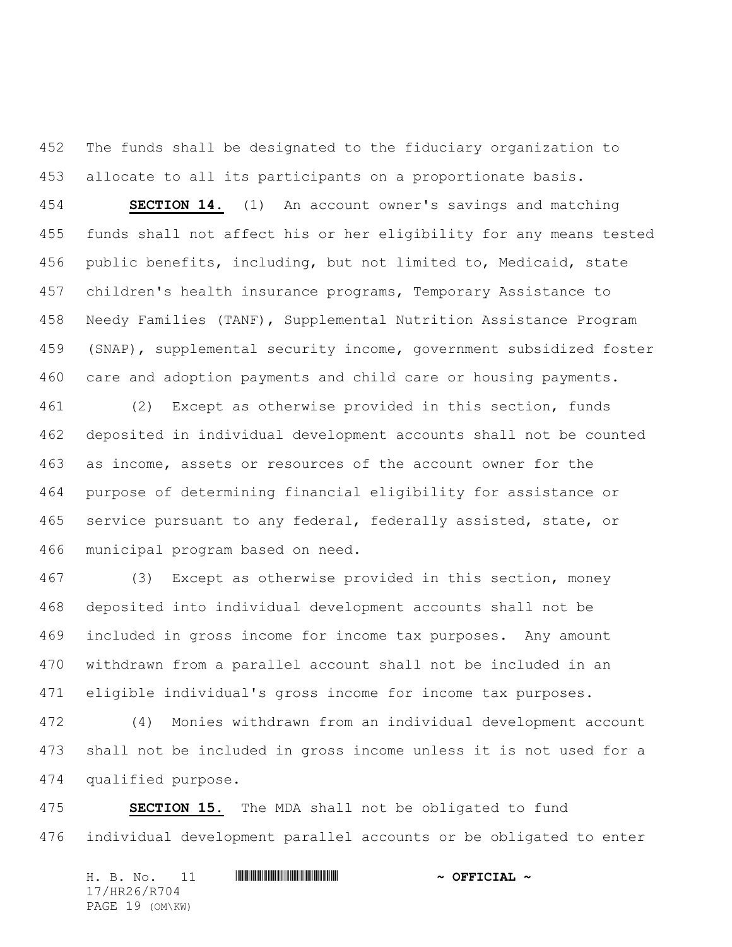The funds shall be designated to the fiduciary organization to allocate to all its participants on a proportionate basis.

 **SECTION 14.** (1) An account owner's savings and matching funds shall not affect his or her eligibility for any means tested public benefits, including, but not limited to, Medicaid, state children's health insurance programs, Temporary Assistance to Needy Families (TANF), Supplemental Nutrition Assistance Program (SNAP), supplemental security income, government subsidized foster care and adoption payments and child care or housing payments.

 (2) Except as otherwise provided in this section, funds deposited in individual development accounts shall not be counted as income, assets or resources of the account owner for the purpose of determining financial eligibility for assistance or service pursuant to any federal, federally assisted, state, or municipal program based on need.

 (3) Except as otherwise provided in this section, money deposited into individual development accounts shall not be included in gross income for income tax purposes. Any amount withdrawn from a parallel account shall not be included in an eligible individual's gross income for income tax purposes.

 (4) Monies withdrawn from an individual development account shall not be included in gross income unless it is not used for a qualified purpose.

 **SECTION 15.** The MDA shall not be obligated to fund individual development parallel accounts or be obligated to enter

H. B. No. 11 \*HR26/R704\* **~ OFFICIAL ~** 17/HR26/R704 PAGE 19 (OM\KW)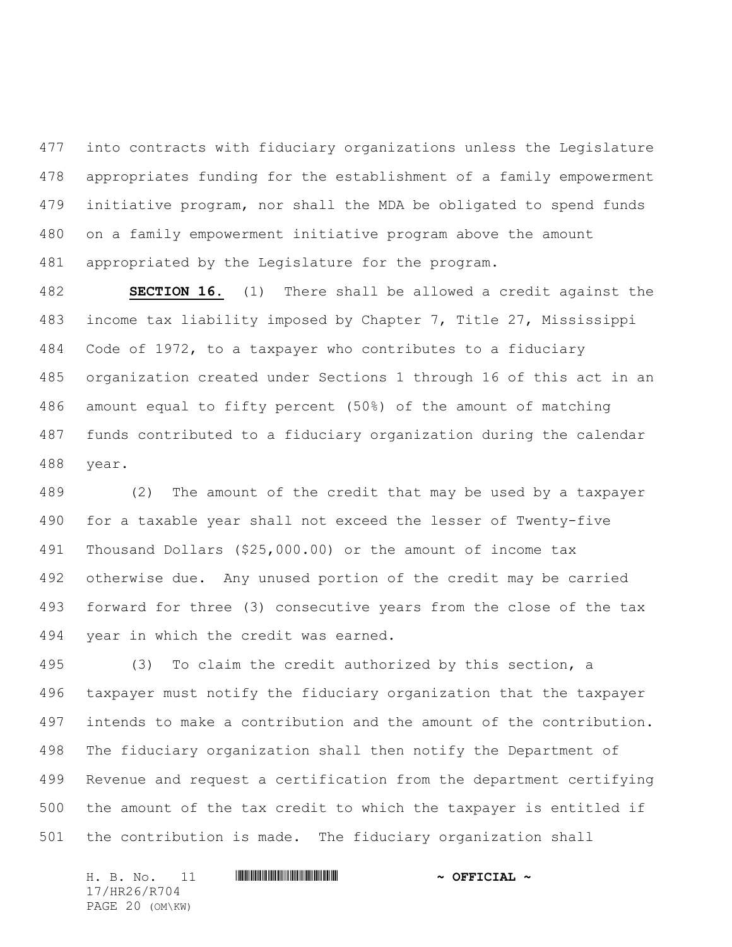into contracts with fiduciary organizations unless the Legislature appropriates funding for the establishment of a family empowerment initiative program, nor shall the MDA be obligated to spend funds on a family empowerment initiative program above the amount appropriated by the Legislature for the program.

 **SECTION 16.** (1) There shall be allowed a credit against the income tax liability imposed by Chapter 7, Title 27, Mississippi Code of 1972, to a taxpayer who contributes to a fiduciary organization created under Sections 1 through 16 of this act in an amount equal to fifty percent (50%) of the amount of matching funds contributed to a fiduciary organization during the calendar year.

 (2) The amount of the credit that may be used by a taxpayer for a taxable year shall not exceed the lesser of Twenty-five Thousand Dollars (\$25,000.00) or the amount of income tax otherwise due. Any unused portion of the credit may be carried forward for three (3) consecutive years from the close of the tax year in which the credit was earned.

 (3) To claim the credit authorized by this section, a taxpayer must notify the fiduciary organization that the taxpayer intends to make a contribution and the amount of the contribution. The fiduciary organization shall then notify the Department of Revenue and request a certification from the department certifying the amount of the tax credit to which the taxpayer is entitled if the contribution is made. The fiduciary organization shall

H. B. No. 11 \*HR26/R704\* **~ OFFICIAL ~** 17/HR26/R704 PAGE 20 (OM\KW)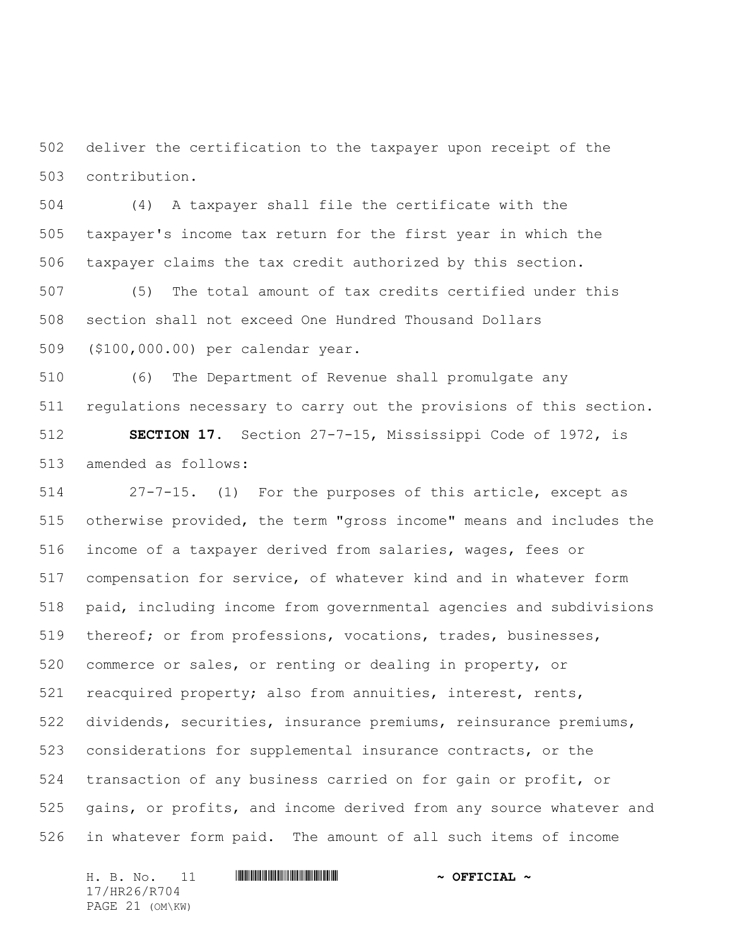deliver the certification to the taxpayer upon receipt of the contribution.

 (4) A taxpayer shall file the certificate with the taxpayer's income tax return for the first year in which the taxpayer claims the tax credit authorized by this section.

 (5) The total amount of tax credits certified under this section shall not exceed One Hundred Thousand Dollars (\$100,000.00) per calendar year.

 (6) The Department of Revenue shall promulgate any regulations necessary to carry out the provisions of this section.

 **SECTION 17.** Section 27-7-15, Mississippi Code of 1972, is amended as follows:

 27-7-15. (1) For the purposes of this article, except as otherwise provided, the term "gross income" means and includes the income of a taxpayer derived from salaries, wages, fees or compensation for service, of whatever kind and in whatever form paid, including income from governmental agencies and subdivisions thereof; or from professions, vocations, trades, businesses, commerce or sales, or renting or dealing in property, or reacquired property; also from annuities, interest, rents, dividends, securities, insurance premiums, reinsurance premiums, considerations for supplemental insurance contracts, or the transaction of any business carried on for gain or profit, or gains, or profits, and income derived from any source whatever and in whatever form paid. The amount of all such items of income

H. B. No. 11 \*HR26/R704\* **~ OFFICIAL ~** 17/HR26/R704 PAGE 21 (OM\KW)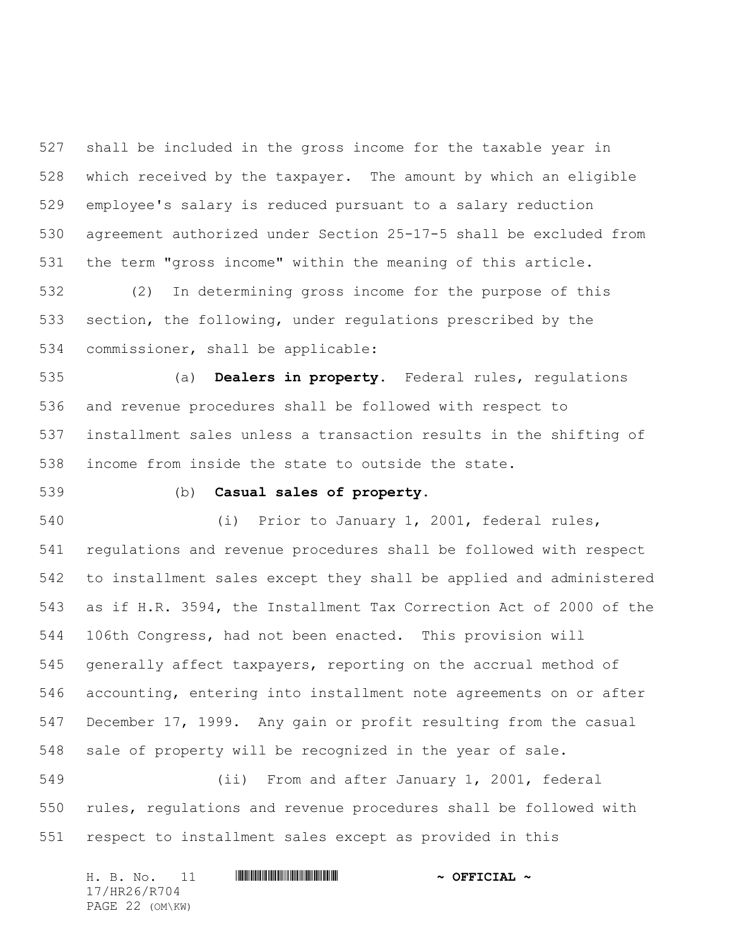shall be included in the gross income for the taxable year in which received by the taxpayer. The amount by which an eligible employee's salary is reduced pursuant to a salary reduction agreement authorized under Section 25-17-5 shall be excluded from the term "gross income" within the meaning of this article.

 (2) In determining gross income for the purpose of this section, the following, under regulations prescribed by the commissioner, shall be applicable:

 (a) **Dealers in property.** Federal rules, regulations and revenue procedures shall be followed with respect to installment sales unless a transaction results in the shifting of income from inside the state to outside the state.

## (b) **Casual sales of property.**

 (i) Prior to January 1, 2001, federal rules, regulations and revenue procedures shall be followed with respect to installment sales except they shall be applied and administered as if H.R. 3594, the Installment Tax Correction Act of 2000 of the 106th Congress, had not been enacted. This provision will generally affect taxpayers, reporting on the accrual method of accounting, entering into installment note agreements on or after December 17, 1999. Any gain or profit resulting from the casual sale of property will be recognized in the year of sale.

 (ii) From and after January 1, 2001, federal rules, regulations and revenue procedures shall be followed with respect to installment sales except as provided in this

| H. B. No. |  |                 |  | $\sim$ OFFICIAL $\sim$ |
|-----------|--|-----------------|--|------------------------|
|           |  | 17/HR26/R704    |  |                        |
|           |  | PAGE 22 (OM\KW) |  |                        |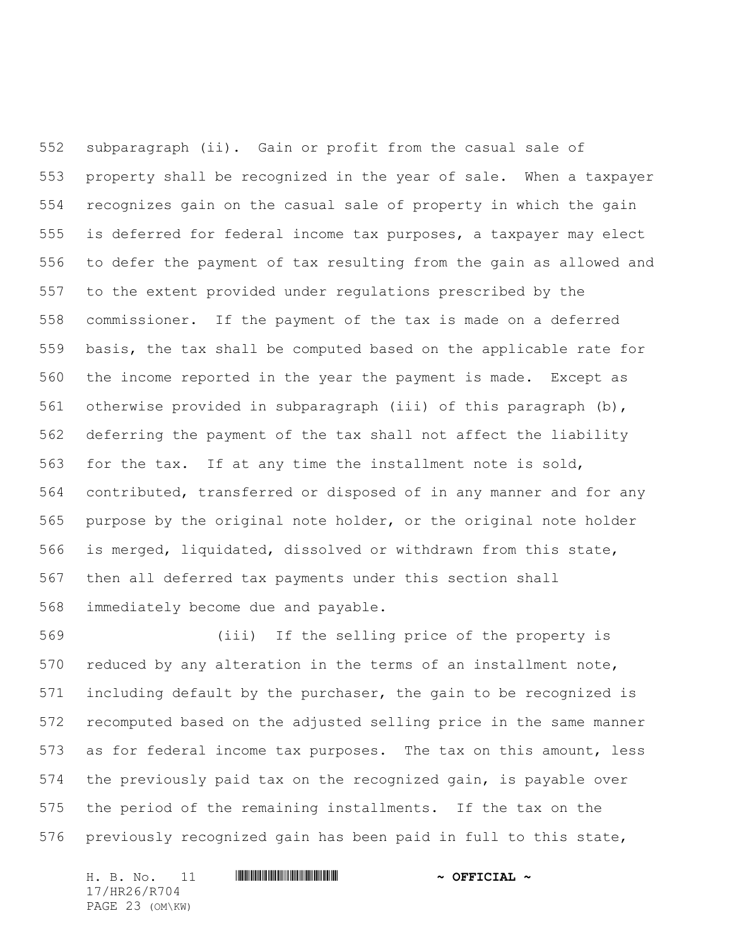subparagraph (ii). Gain or profit from the casual sale of property shall be recognized in the year of sale. When a taxpayer recognizes gain on the casual sale of property in which the gain is deferred for federal income tax purposes, a taxpayer may elect to defer the payment of tax resulting from the gain as allowed and to the extent provided under regulations prescribed by the commissioner. If the payment of the tax is made on a deferred basis, the tax shall be computed based on the applicable rate for the income reported in the year the payment is made. Except as otherwise provided in subparagraph (iii) of this paragraph (b), deferring the payment of the tax shall not affect the liability for the tax. If at any time the installment note is sold, contributed, transferred or disposed of in any manner and for any purpose by the original note holder, or the original note holder is merged, liquidated, dissolved or withdrawn from this state, then all deferred tax payments under this section shall immediately become due and payable.

 (iii) If the selling price of the property is reduced by any alteration in the terms of an installment note, including default by the purchaser, the gain to be recognized is recomputed based on the adjusted selling price in the same manner as for federal income tax purposes. The tax on this amount, less the previously paid tax on the recognized gain, is payable over the period of the remaining installments. If the tax on the previously recognized gain has been paid in full to this state,

H. B. No. 11 \*HR26/R704\* **~ OFFICIAL ~** 17/HR26/R704 PAGE 23 (OM\KW)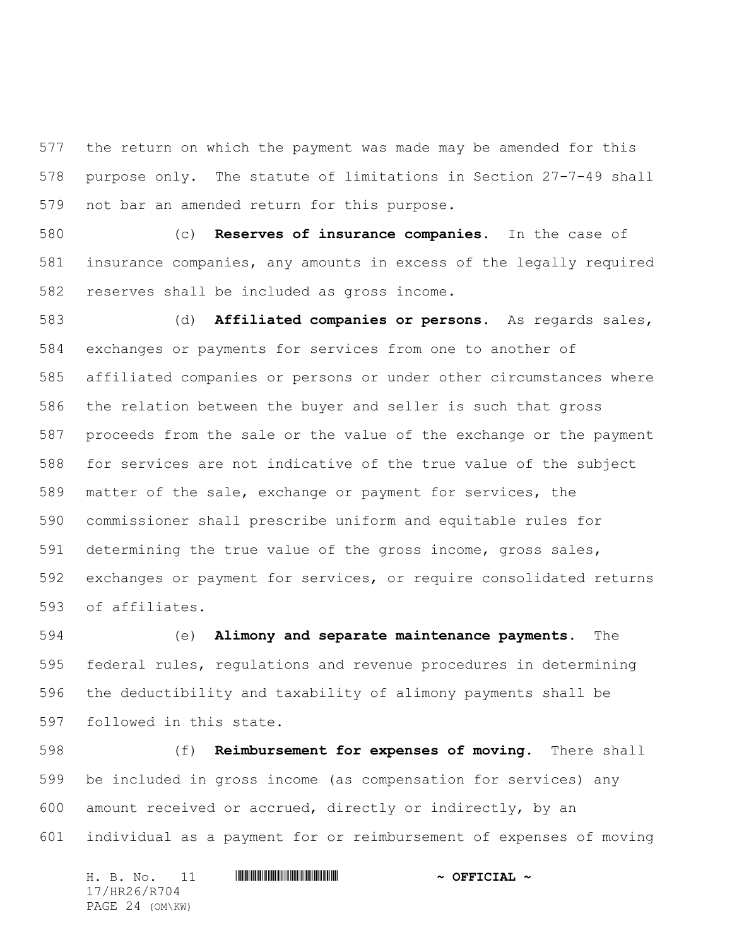the return on which the payment was made may be amended for this purpose only. The statute of limitations in Section 27-7-49 shall not bar an amended return for this purpose.

 (c) **Reserves of insurance companies.** In the case of insurance companies, any amounts in excess of the legally required reserves shall be included as gross income.

 (d) **Affiliated companies or persons.** As regards sales, exchanges or payments for services from one to another of affiliated companies or persons or under other circumstances where the relation between the buyer and seller is such that gross proceeds from the sale or the value of the exchange or the payment for services are not indicative of the true value of the subject matter of the sale, exchange or payment for services, the commissioner shall prescribe uniform and equitable rules for determining the true value of the gross income, gross sales, exchanges or payment for services, or require consolidated returns of affiliates.

 (e) **Alimony and separate maintenance payments.** The federal rules, regulations and revenue procedures in determining the deductibility and taxability of alimony payments shall be followed in this state.

 (f) **Reimbursement for expenses of moving.** There shall be included in gross income (as compensation for services) any amount received or accrued, directly or indirectly, by an individual as a payment for or reimbursement of expenses of moving

H. B. No. 11 \*HR26/R704\* **~ OFFICIAL ~** 17/HR26/R704 PAGE 24 (OM\KW)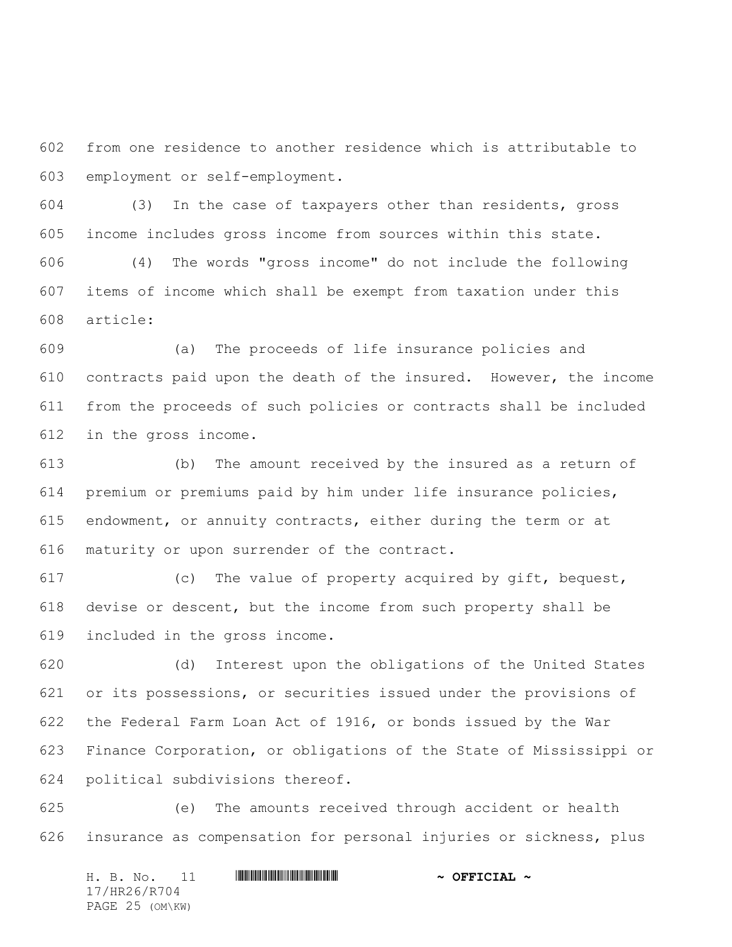from one residence to another residence which is attributable to employment or self-employment.

 (3) In the case of taxpayers other than residents, gross income includes gross income from sources within this state.

 (4) The words "gross income" do not include the following items of income which shall be exempt from taxation under this article:

 (a) The proceeds of life insurance policies and contracts paid upon the death of the insured. However, the income from the proceeds of such policies or contracts shall be included in the gross income.

 (b) The amount received by the insured as a return of premium or premiums paid by him under life insurance policies, endowment, or annuity contracts, either during the term or at maturity or upon surrender of the contract.

 (c) The value of property acquired by gift, bequest, devise or descent, but the income from such property shall be included in the gross income.

 (d) Interest upon the obligations of the United States or its possessions, or securities issued under the provisions of the Federal Farm Loan Act of 1916, or bonds issued by the War Finance Corporation, or obligations of the State of Mississippi or political subdivisions thereof.

 (e) The amounts received through accident or health insurance as compensation for personal injuries or sickness, plus

H. B. No. 11 \*HR26/R704\* **~ OFFICIAL ~** 17/HR26/R704 PAGE 25 (OM\KW)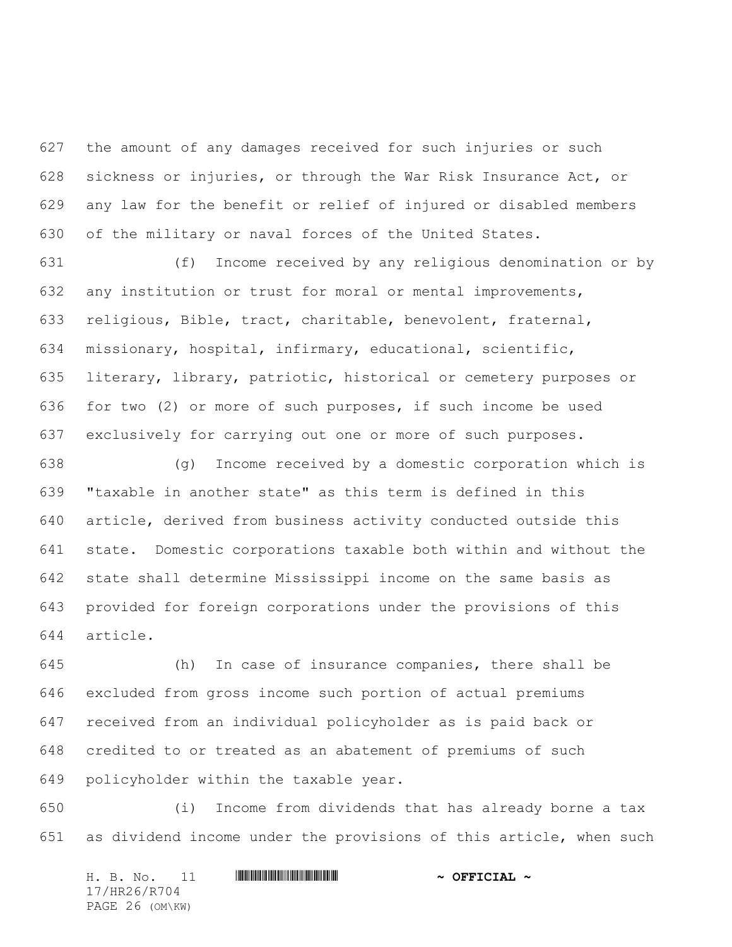the amount of any damages received for such injuries or such sickness or injuries, or through the War Risk Insurance Act, or any law for the benefit or relief of injured or disabled members of the military or naval forces of the United States.

 (f) Income received by any religious denomination or by any institution or trust for moral or mental improvements, religious, Bible, tract, charitable, benevolent, fraternal, missionary, hospital, infirmary, educational, scientific, literary, library, patriotic, historical or cemetery purposes or for two (2) or more of such purposes, if such income be used exclusively for carrying out one or more of such purposes.

 (g) Income received by a domestic corporation which is "taxable in another state" as this term is defined in this article, derived from business activity conducted outside this state. Domestic corporations taxable both within and without the state shall determine Mississippi income on the same basis as provided for foreign corporations under the provisions of this article.

 (h) In case of insurance companies, there shall be excluded from gross income such portion of actual premiums received from an individual policyholder as is paid back or credited to or treated as an abatement of premiums of such policyholder within the taxable year.

 (i) Income from dividends that has already borne a tax as dividend income under the provisions of this article, when such

H. B. No. 11 \*HR26/R704\* **~ OFFICIAL ~** 17/HR26/R704 PAGE 26 (OM\KW)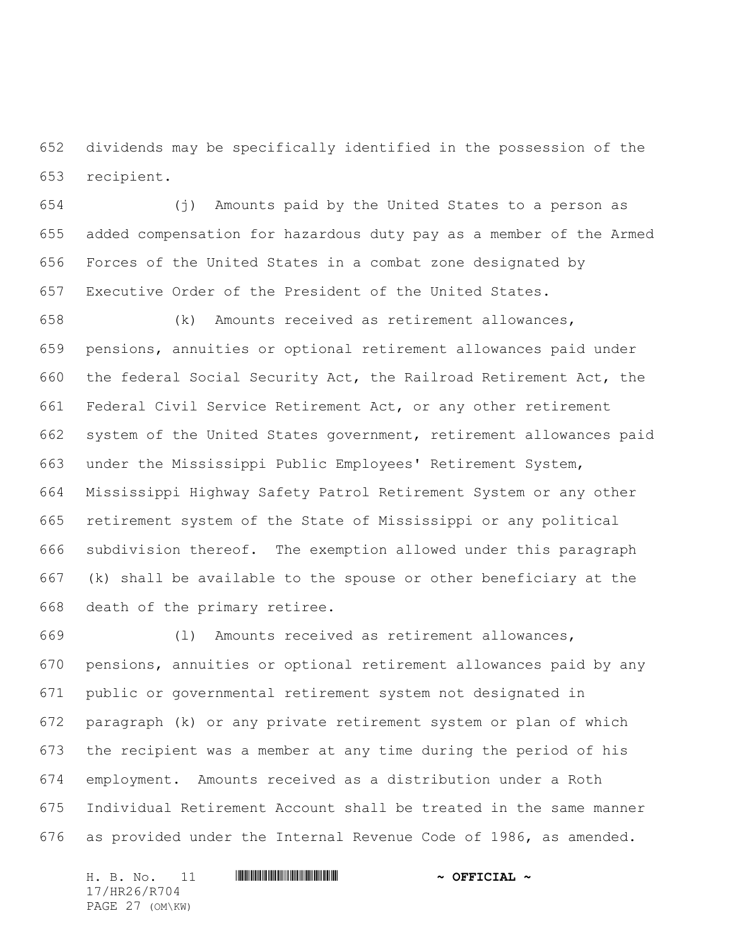dividends may be specifically identified in the possession of the recipient.

 (j) Amounts paid by the United States to a person as added compensation for hazardous duty pay as a member of the Armed Forces of the United States in a combat zone designated by Executive Order of the President of the United States.

 (k) Amounts received as retirement allowances, pensions, annuities or optional retirement allowances paid under the federal Social Security Act, the Railroad Retirement Act, the Federal Civil Service Retirement Act, or any other retirement system of the United States government, retirement allowances paid under the Mississippi Public Employees' Retirement System, Mississippi Highway Safety Patrol Retirement System or any other retirement system of the State of Mississippi or any political subdivision thereof. The exemption allowed under this paragraph (k) shall be available to the spouse or other beneficiary at the death of the primary retiree.

 (l) Amounts received as retirement allowances, pensions, annuities or optional retirement allowances paid by any public or governmental retirement system not designated in paragraph (k) or any private retirement system or plan of which the recipient was a member at any time during the period of his employment. Amounts received as a distribution under a Roth Individual Retirement Account shall be treated in the same manner as provided under the Internal Revenue Code of 1986, as amended.

H. B. No. 11 \*HR26/R704\* **~ OFFICIAL ~** 17/HR26/R704 PAGE 27 (OM\KW)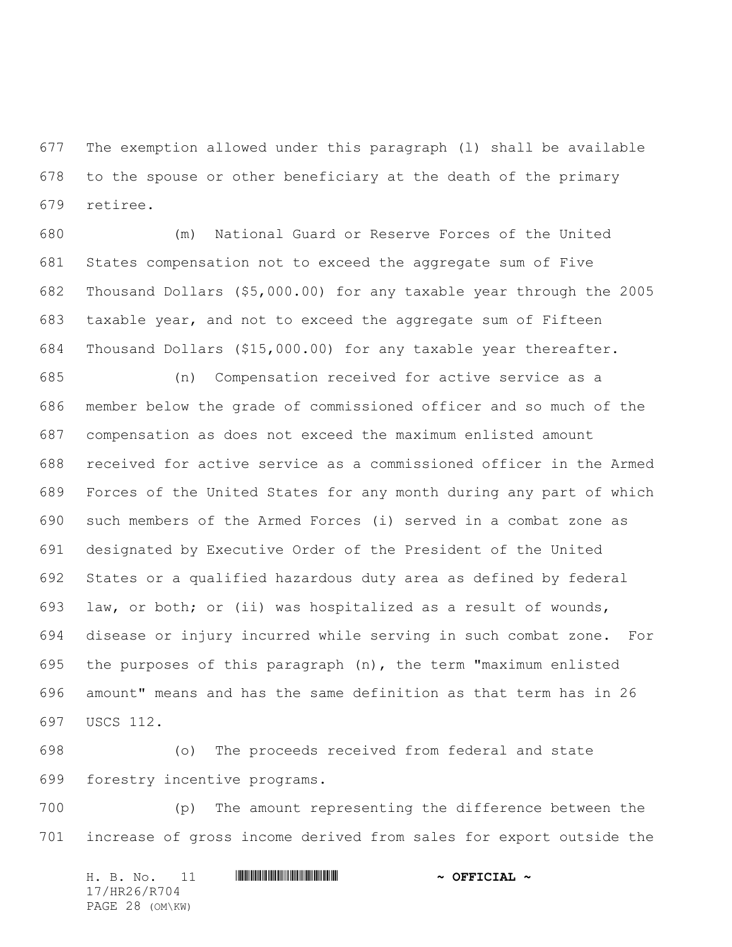The exemption allowed under this paragraph (l) shall be available to the spouse or other beneficiary at the death of the primary retiree.

 (m) National Guard or Reserve Forces of the United States compensation not to exceed the aggregate sum of Five Thousand Dollars (\$5,000.00) for any taxable year through the 2005 taxable year, and not to exceed the aggregate sum of Fifteen Thousand Dollars (\$15,000.00) for any taxable year thereafter.

 (n) Compensation received for active service as a member below the grade of commissioned officer and so much of the compensation as does not exceed the maximum enlisted amount received for active service as a commissioned officer in the Armed Forces of the United States for any month during any part of which such members of the Armed Forces (i) served in a combat zone as designated by Executive Order of the President of the United States or a qualified hazardous duty area as defined by federal law, or both; or (ii) was hospitalized as a result of wounds, disease or injury incurred while serving in such combat zone. For the purposes of this paragraph (n), the term "maximum enlisted amount" means and has the same definition as that term has in 26 USCS 112.

 (o) The proceeds received from federal and state forestry incentive programs.

 (p) The amount representing the difference between the increase of gross income derived from sales for export outside the

H. B. No. 11 \*HR26/R704\* **~ OFFICIAL ~** 17/HR26/R704 PAGE 28 (OM\KW)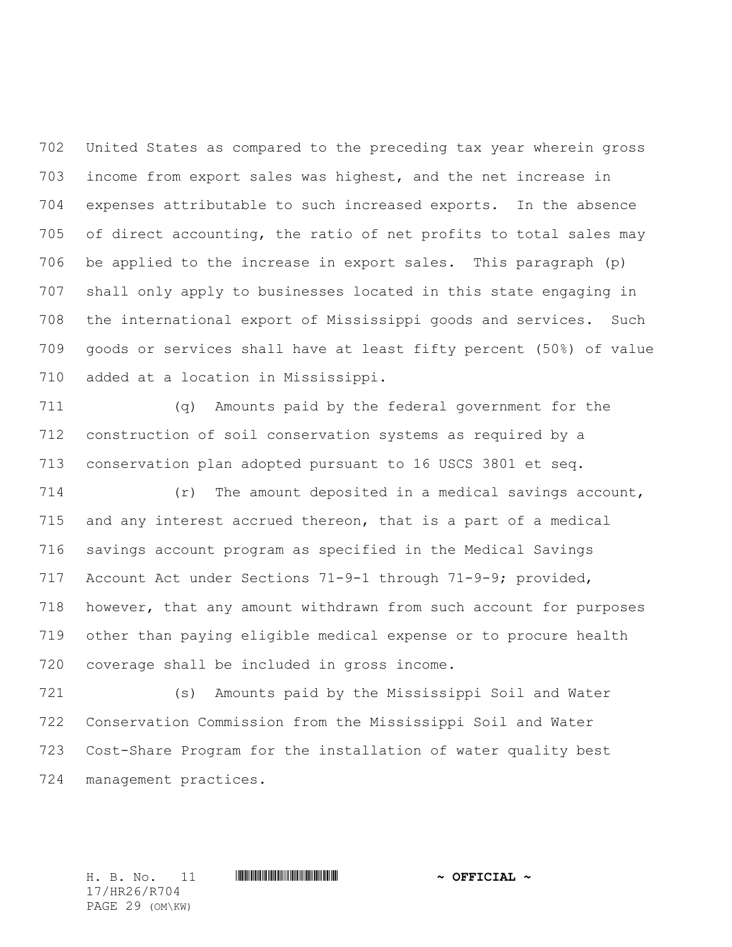United States as compared to the preceding tax year wherein gross income from export sales was highest, and the net increase in expenses attributable to such increased exports. In the absence of direct accounting, the ratio of net profits to total sales may be applied to the increase in export sales. This paragraph (p) shall only apply to businesses located in this state engaging in the international export of Mississippi goods and services. Such goods or services shall have at least fifty percent (50%) of value added at a location in Mississippi.

 (q) Amounts paid by the federal government for the construction of soil conservation systems as required by a conservation plan adopted pursuant to 16 USCS 3801 et seq.

 (r) The amount deposited in a medical savings account, and any interest accrued thereon, that is a part of a medical savings account program as specified in the Medical Savings Account Act under Sections 71-9-1 through 71-9-9; provided, however, that any amount withdrawn from such account for purposes other than paying eligible medical expense or to procure health coverage shall be included in gross income.

 (s) Amounts paid by the Mississippi Soil and Water Conservation Commission from the Mississippi Soil and Water Cost-Share Program for the installation of water quality best management practices.

17/HR26/R704 PAGE 29 (OM\KW)

H. B. No. 11 \*HR26/R704\* **~ OFFICIAL ~**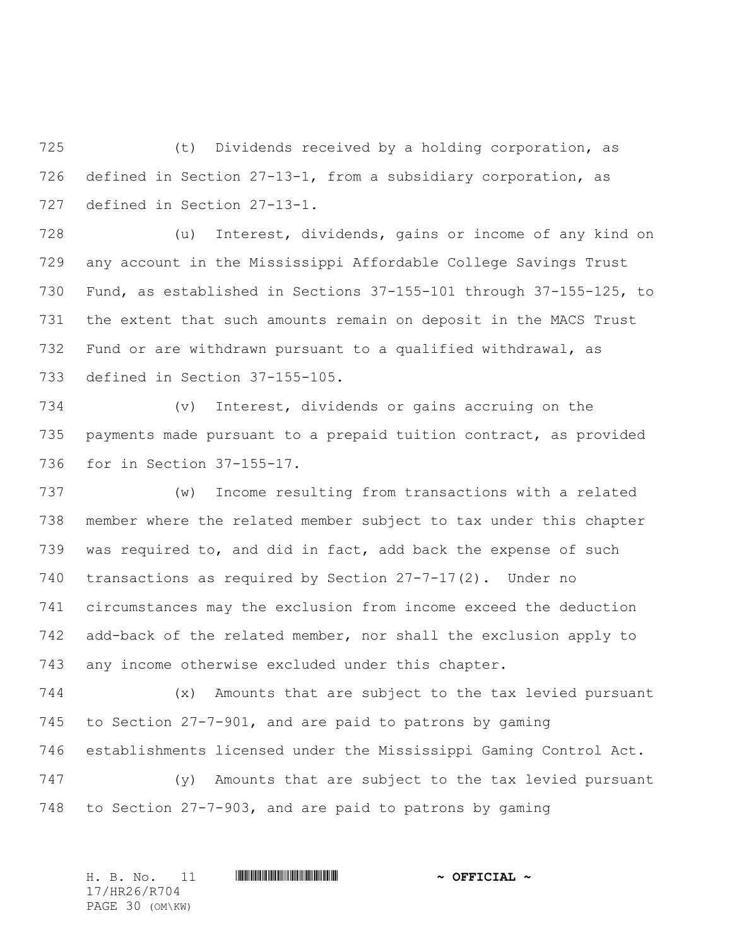(t) Dividends received by a holding corporation, as defined in Section 27-13-1, from a subsidiary corporation, as defined in Section 27-13-1.

 (u) Interest, dividends, gains or income of any kind on any account in the Mississippi Affordable College Savings Trust Fund, as established in Sections 37-155-101 through 37-155-125, to the extent that such amounts remain on deposit in the MACS Trust Fund or are withdrawn pursuant to a qualified withdrawal, as defined in Section 37-155-105.

 (v) Interest, dividends or gains accruing on the payments made pursuant to a prepaid tuition contract, as provided for in Section 37-155-17.

 (w) Income resulting from transactions with a related member where the related member subject to tax under this chapter was required to, and did in fact, add back the expense of such transactions as required by Section 27-7-17(2). Under no circumstances may the exclusion from income exceed the deduction add-back of the related member, nor shall the exclusion apply to any income otherwise excluded under this chapter.

 (x) Amounts that are subject to the tax levied pursuant to Section 27-7-901, and are paid to patrons by gaming establishments licensed under the Mississippi Gaming Control Act.

 (y) Amounts that are subject to the tax levied pursuant to Section 27-7-903, and are paid to patrons by gaming

H. B. No. 11 \*HR26/R704\* **~ OFFICIAL ~** 17/HR26/R704 PAGE 30 (OM\KW)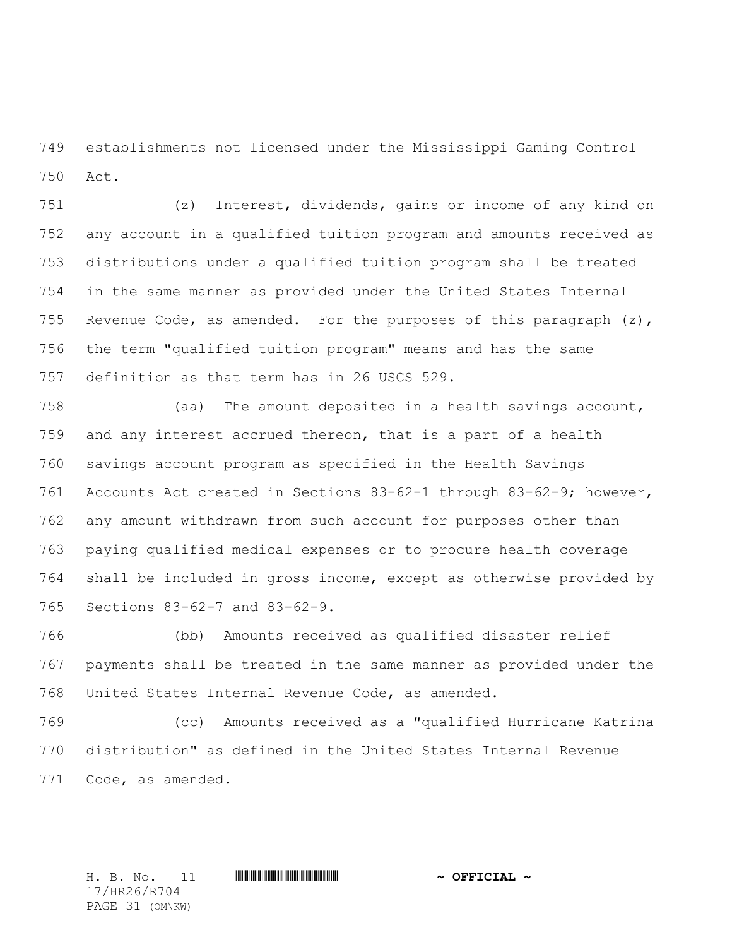establishments not licensed under the Mississippi Gaming Control Act.

 (z) Interest, dividends, gains or income of any kind on any account in a qualified tuition program and amounts received as distributions under a qualified tuition program shall be treated in the same manner as provided under the United States Internal 755 Revenue Code, as amended. For the purposes of this paragraph  $(z)$ , the term "qualified tuition program" means and has the same definition as that term has in 26 USCS 529.

 (aa) The amount deposited in a health savings account, and any interest accrued thereon, that is a part of a health savings account program as specified in the Health Savings Accounts Act created in Sections 83-62-1 through 83-62-9; however, any amount withdrawn from such account for purposes other than paying qualified medical expenses or to procure health coverage shall be included in gross income, except as otherwise provided by Sections 83-62-7 and 83-62-9.

 (bb) Amounts received as qualified disaster relief payments shall be treated in the same manner as provided under the United States Internal Revenue Code, as amended.

 (cc) Amounts received as a "qualified Hurricane Katrina distribution" as defined in the United States Internal Revenue Code, as amended.

17/HR26/R704 PAGE 31 (OM\KW)

H. B. No. 11 \*HR26/R704\* **~ OFFICIAL ~**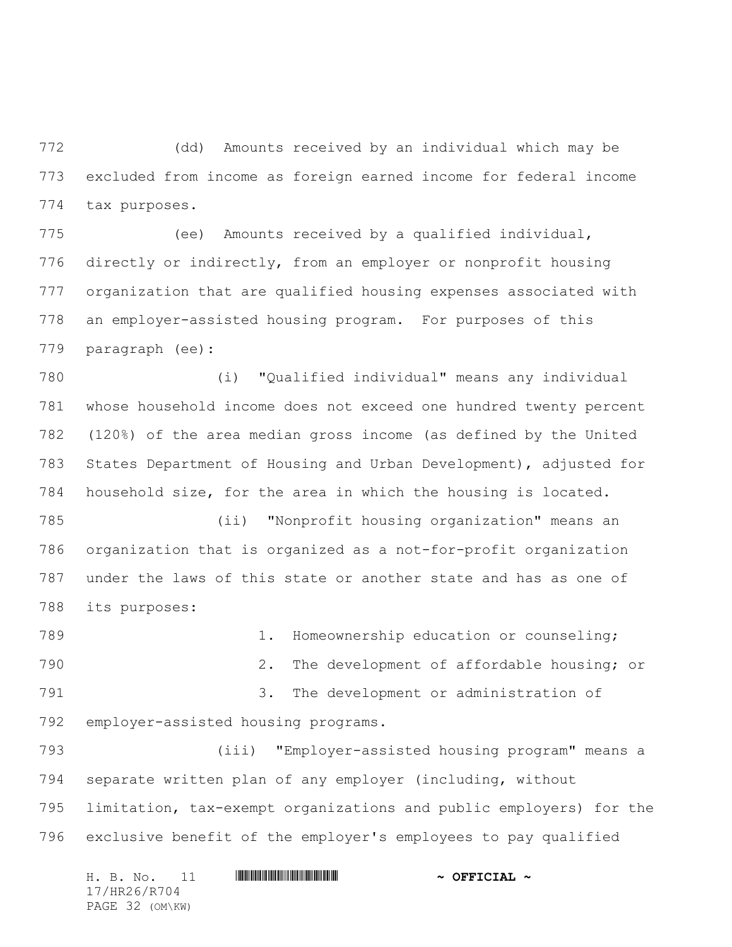(dd) Amounts received by an individual which may be excluded from income as foreign earned income for federal income tax purposes.

 (ee) Amounts received by a qualified individual, directly or indirectly, from an employer or nonprofit housing organization that are qualified housing expenses associated with an employer-assisted housing program. For purposes of this paragraph (ee):

 (i) "Qualified individual" means any individual whose household income does not exceed one hundred twenty percent (120%) of the area median gross income (as defined by the United States Department of Housing and Urban Development), adjusted for household size, for the area in which the housing is located.

 (ii) "Nonprofit housing organization" means an organization that is organized as a not-for-profit organization under the laws of this state or another state and has as one of its purposes:

789 1. Homeownership education or counseling; 2. The development of affordable housing; or 3. The development or administration of employer-assisted housing programs.

 (iii) "Employer-assisted housing program" means a separate written plan of any employer (including, without limitation, tax-exempt organizations and public employers) for the exclusive benefit of the employer's employees to pay qualified

H. B. No. 11 **HR26/R7041 EXPLICIAL ~ OFFICIAL ~** 17/HR26/R704 PAGE 32 (OM\KW)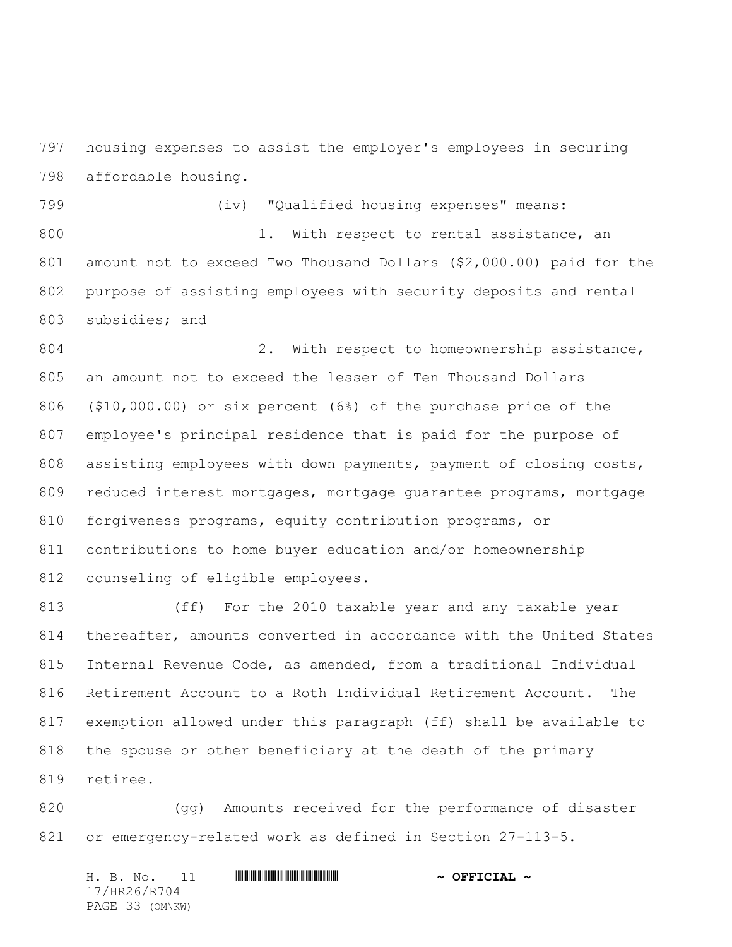housing expenses to assist the employer's employees in securing affordable housing.

 (iv) "Qualified housing expenses" means: 800 1. With respect to rental assistance, an amount not to exceed Two Thousand Dollars (\$2,000.00) paid for the purpose of assisting employees with security deposits and rental subsidies; and

804 2. With respect to homeownership assistance, an amount not to exceed the lesser of Ten Thousand Dollars (\$10,000.00) or six percent (6%) of the purchase price of the employee's principal residence that is paid for the purpose of 808 assisting employees with down payments, payment of closing costs, reduced interest mortgages, mortgage guarantee programs, mortgage forgiveness programs, equity contribution programs, or contributions to home buyer education and/or homeownership counseling of eligible employees.

 (ff) For the 2010 taxable year and any taxable year thereafter, amounts converted in accordance with the United States Internal Revenue Code, as amended, from a traditional Individual Retirement Account to a Roth Individual Retirement Account. The exemption allowed under this paragraph (ff) shall be available to the spouse or other beneficiary at the death of the primary retiree.

820 (gg) Amounts received for the performance of disaster or emergency-related work as defined in Section 27-113-5.

H. B. No. 11 \*HR26/R704\* **~ OFFICIAL ~** 17/HR26/R704 PAGE 33 (OM\KW)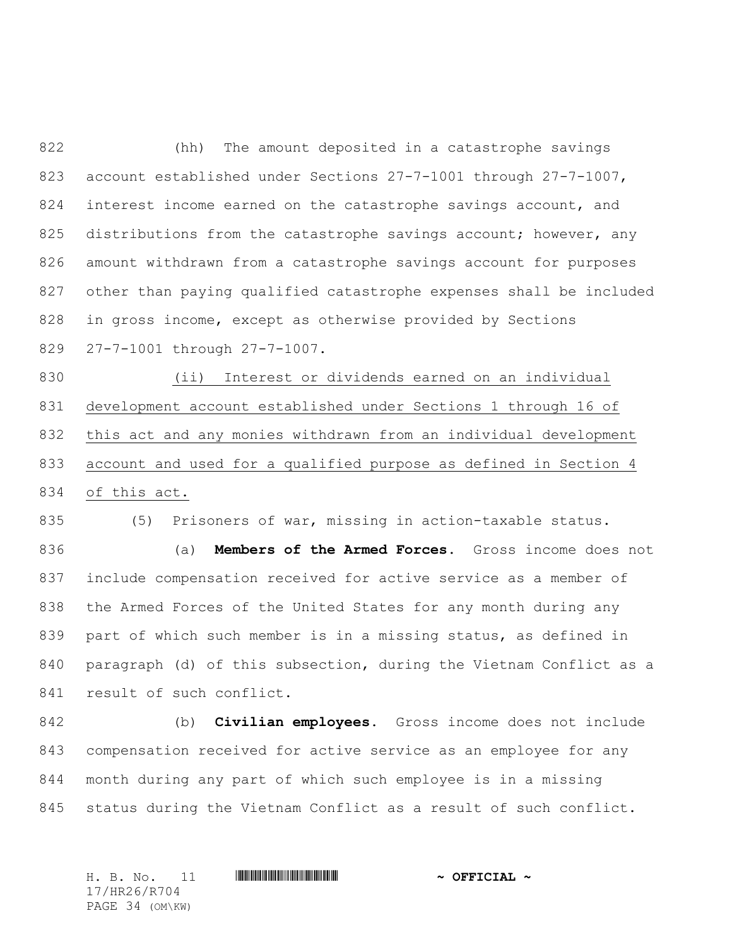(hh) The amount deposited in a catastrophe savings account established under Sections 27-7-1001 through 27-7-1007, 824 interest income earned on the catastrophe savings account, and 825 distributions from the catastrophe savings account; however, any amount withdrawn from a catastrophe savings account for purposes other than paying qualified catastrophe expenses shall be included in gross income, except as otherwise provided by Sections 27-7-1001 through 27-7-1007.

 (ii) Interest or dividends earned on an individual development account established under Sections 1 through 16 of this act and any monies withdrawn from an individual development account and used for a qualified purpose as defined in Section 4 of this act.

 (5) Prisoners of war, missing in action-taxable status. (a) **Members of the Armed Forces.** Gross income does not include compensation received for active service as a member of the Armed Forces of the United States for any month during any part of which such member is in a missing status, as defined in paragraph (d) of this subsection, during the Vietnam Conflict as a 841 result of such conflict.

 (b) **Civilian employees.** Gross income does not include compensation received for active service as an employee for any month during any part of which such employee is in a missing status during the Vietnam Conflict as a result of such conflict.

H. B. No. 11 \*HR26/R704\* **~ OFFICIAL ~** 17/HR26/R704 PAGE 34 (OM\KW)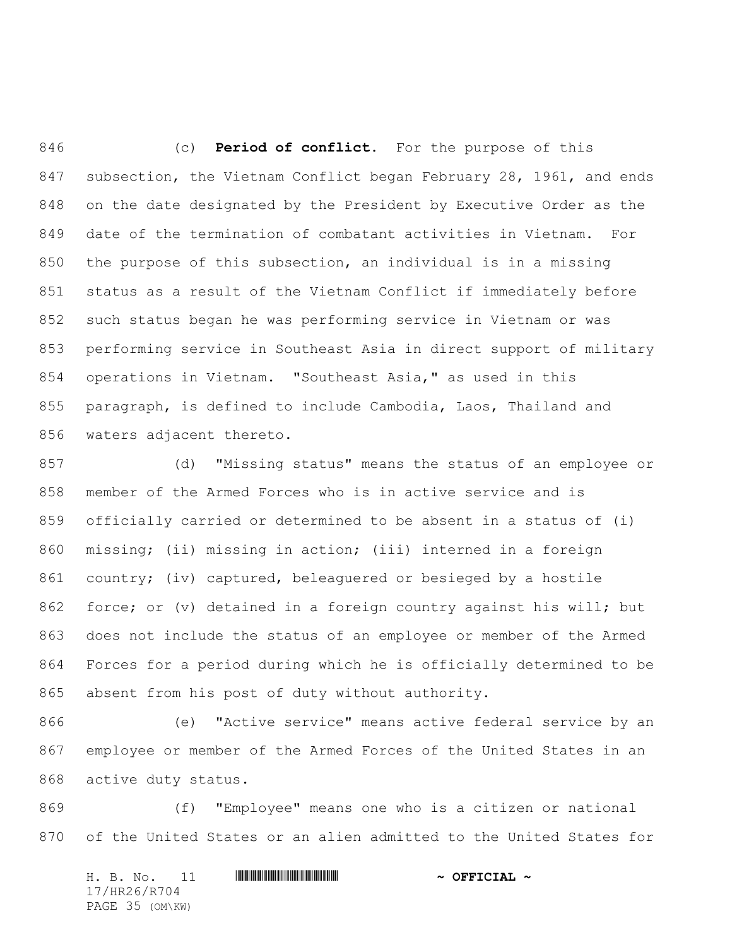(c) **Period of conflict.** For the purpose of this subsection, the Vietnam Conflict began February 28, 1961, and ends on the date designated by the President by Executive Order as the date of the termination of combatant activities in Vietnam. For the purpose of this subsection, an individual is in a missing status as a result of the Vietnam Conflict if immediately before such status began he was performing service in Vietnam or was performing service in Southeast Asia in direct support of military operations in Vietnam. "Southeast Asia," as used in this paragraph, is defined to include Cambodia, Laos, Thailand and waters adjacent thereto.

 (d) "Missing status" means the status of an employee or member of the Armed Forces who is in active service and is officially carried or determined to be absent in a status of (i) missing; (ii) missing in action; (iii) interned in a foreign country; (iv) captured, beleaguered or besieged by a hostile force; or (v) detained in a foreign country against his will; but does not include the status of an employee or member of the Armed Forces for a period during which he is officially determined to be absent from his post of duty without authority.

 (e) "Active service" means active federal service by an employee or member of the Armed Forces of the United States in an active duty status.

 (f) "Employee" means one who is a citizen or national of the United States or an alien admitted to the United States for

H. B. No. 11 **HREFRIRGHERRY TELLET AND A OFFICIAL ~** 17/HR26/R704 PAGE 35 (OM\KW)